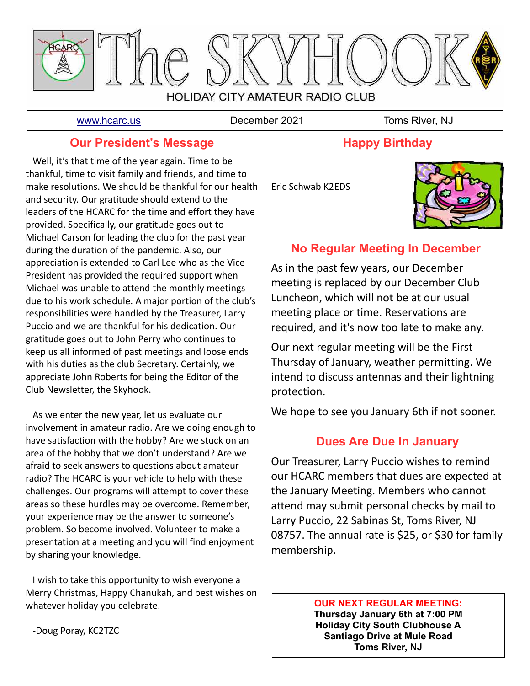

[www.hcarc.us](http://www.hcarc.us/) **December 2021** Toms River. NJ

### **Our President's Message**

 Well, it's that time of the year again. Time to be thankful, time to visit family and friends, and time to make resolutions. We should be thankful for our health and security. Our gratitude should extend to the leaders of the HCARC for the time and effort they have provided. Specifically, our gratitude goes out to Michael Carson for leading the club for the past year during the duration of the pandemic. Also, our appreciation is extended to Carl Lee who as the Vice President has provided the required support when Michael was unable to attend the monthly meetings due to his work schedule. A major portion of the club's responsibilities were handled by the Treasurer, Larry Puccio and we are thankful for his dedication. Our gratitude goes out to John Perry who continues to keep us all informed of past meetings and loose ends with his duties as the club Secretary. Certainly, we appreciate John Roberts for being the Editor of the Club Newsletter, the Skyhook.

 As we enter the new year, let us evaluate our involvement in amateur radio. Are we doing enough to have satisfaction with the hobby? Are we stuck on an area of the hobby that we don't understand? Are we afraid to seek answers to questions about amateur radio? The HCARC is your vehicle to help with these challenges. Our programs will attempt to cover these areas so these hurdles may be overcome. Remember, your experience may be the answer to someone's problem. So become involved. Volunteer to make a presentation at a meeting and you will find enjoyment by sharing your knowledge.

 I wish to take this opportunity to wish everyone a Merry Christmas, Happy Chanukah, and best wishes on whatever holiday you celebrate.

Eric Schwab K2EDS



## **No Regular Meeting In December**

**Happy Birthday**

As in the past few years, our December meeting is replaced by our December Club Luncheon, which will not be at our usual meeting place or time. Reservations are required, and it's now too late to make any.

Our next regular meeting will be the First Thursday of January, weather permitting. We intend to discuss antennas and their lightning protection.

We hope to see you January 6th if not sooner.

## **Dues Are Due In January**

Our Treasurer, Larry Puccio wishes to remind our HCARC members that dues are expected at the January Meeting. Members who cannot attend may submit personal checks by mail to Larry Puccio, 22 Sabinas St, Toms River, NJ 08757. The annual rate is \$25, or \$30 for family membership.

#### **OUR NEXT REGULAR MEETING: Thursday January 6th at 7:00 PM**

**Holiday City South Clubhouse A Santiago Drive at Mule Road Toms River, NJ**

-Doug Poray, KC2TZC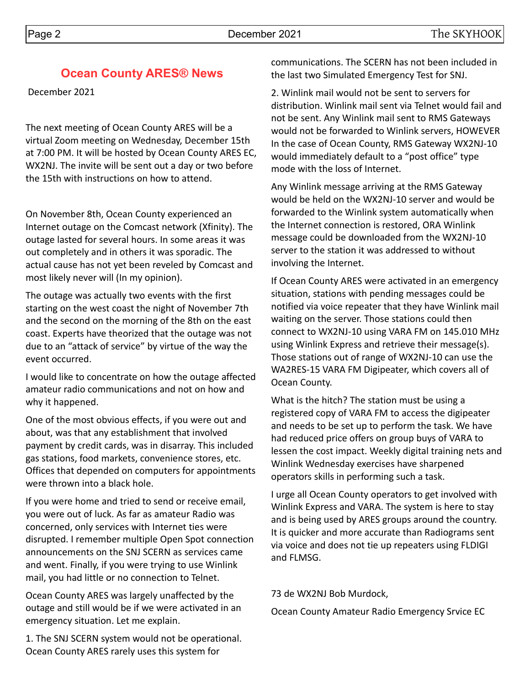December 2021

The next meeting of Ocean County ARES will be a virtual Zoom meeting on Wednesday, December 15th at 7:00 PM. It will be hosted by Ocean County ARES EC, WX2NJ. The invite will be sent out a day or two before the 15th with instructions on how to attend.

**Ocean County ARES® News**

On November 8th, Ocean County experienced an Internet outage on the Comcast network (Xfinity). The outage lasted for several hours. In some areas it was out completely and in others it was sporadic. The actual cause has not yet been reveled by Comcast and most likely never will (In my opinion).

The outage was actually two events with the first starting on the west coast the night of November 7th and the second on the morning of the 8th on the east coast. Experts have theorized that the outage was not due to an "attack of service" by virtue of the way the event occurred.

I would like to concentrate on how the outage affected amateur radio communications and not on how and why it happened.

One of the most obvious effects, if you were out and about, was that any establishment that involved payment by credit cards, was in disarray. This included gas stations, food markets, convenience stores, etc. Offices that depended on computers for appointments were thrown into a black hole.

If you were home and tried to send or receive email, you were out of luck. As far as amateur Radio was concerned, only services with Internet ties were disrupted. I remember multiple Open Spot connection announcements on the SNJ SCERN as services came and went. Finally, if you were trying to use Winlink mail, you had little or no connection to Telnet.

Ocean County ARES was largely unaffected by the outage and still would be if we were activated in an emergency situation. Let me explain.

1. The SNJ SCERN system would not be operational. Ocean County ARES rarely uses this system for

communications. The SCERN has not been included in the last two Simulated Emergency Test for SNJ.

2. Winlink mail would not be sent to servers for distribution. Winlink mail sent via Telnet would fail and not be sent. Any Winlink mail sent to RMS Gateways would not be forwarded to Winlink servers, HOWEVER In the case of Ocean County, RMS Gateway WX2NJ-10 would immediately default to a "post office" type mode with the loss of Internet.

Any Winlink message arriving at the RMS Gateway would be held on the WX2NJ-10 server and would be forwarded to the Winlink system automatically when the Internet connection is restored, ORA Winlink message could be downloaded from the WX2NJ-10 server to the station it was addressed to without involving the Internet.

If Ocean County ARES were activated in an emergency situation, stations with pending messages could be notified via voice repeater that they have Winlink mail waiting on the server. Those stations could then connect to WX2NJ-10 using VARA FM on 145.010 MHz using Winlink Express and retrieve their message(s). Those stations out of range of WX2NJ-10 can use the WA2RES-15 VARA FM Digipeater, which covers all of Ocean County.

What is the hitch? The station must be using a registered copy of VARA FM to access the digipeater and needs to be set up to perform the task. We have had reduced price offers on group buys of VARA to lessen the cost impact. Weekly digital training nets and Winlink Wednesday exercises have sharpened operators skills in performing such a task.

I urge all Ocean County operators to get involved with Winlink Express and VARA. The system is here to stay and is being used by ARES groups around the country. It is quicker and more accurate than Radiograms sent via voice and does not tie up repeaters using FLDIGI and FLMSG.

73 de WX2NJ Bob Murdock,

Ocean County Amateur Radio Emergency Srvice EC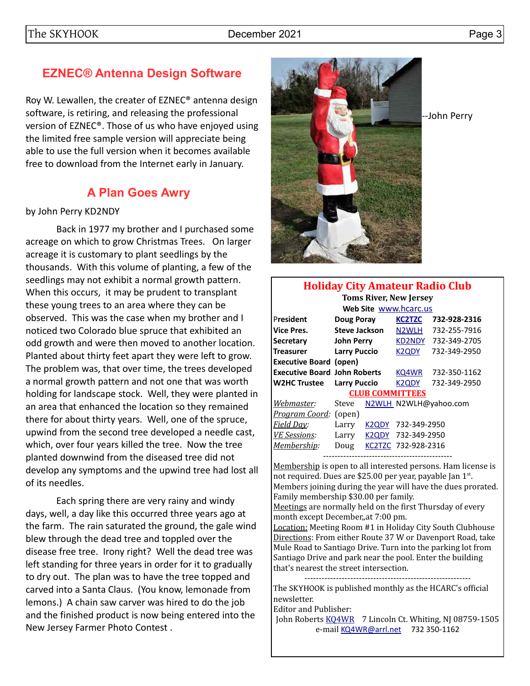# **EZNEC® Antenna Design Software**

Roy W. Lewallen, the creater of EZNEC® antenna design software, is retiring, and releasing the professional version of EZNEC®. Those of us who have enjoyed using the limited free sample version will appreciate being able to use the full version when it becomes available free to download from the Internet early in January.

# **A Plan Goes Awry**

### by John Perry KD2NDY

Back in 1977 my brother and I purchased some acreage on which to grow Christmas Trees. On larger acreage it is customary to plant seedlings by the thousands. With this volume of planting, a few of the seedlings may not exhibit a normal growth pattern. When this occurs, it may be prudent to transplant these young trees to an area where they can be observed. This was the case when my brother and I noticed two Colorado blue spruce that exhibited an odd growth and were then moved to another location. Planted about thirty feet apart they were left to grow. The problem was, that over time, the trees developed a normal growth pattern and not one that was worth holding for landscape stock. Well, they were planted in an area that enhanced the location so they remained there for about thirty years. Well, one of the spruce, upwind from the second tree developed a needle cast, which, over four years killed the tree. Now the tree planted downwind from the diseased tree did not develop any symptoms and the upwind tree had lost all of its needles.

Each spring there are very rainy and windy days, well, a day like this occurred three years ago at the farm. The rain saturated the ground, the gale wind blew through the dead tree and toppled over the disease free tree. Irony right? Well the dead tree was left standing for three years in order for it to gradually to dry out. The plan was to have the tree topped and carved into a Santa Claus. (You know, lemonade from lemons.) A chain saw carver was hired to do the job and the finished product is now being entered into the New Jersey Farmer Photo Contest .



--John Perry

| <b>Holiday City Amateur Radio Club</b> |                      |       |                                |                       |  |  |  |  |  |  |
|----------------------------------------|----------------------|-------|--------------------------------|-----------------------|--|--|--|--|--|--|
| <b>Toms River, New Jersey</b>          |                      |       |                                |                       |  |  |  |  |  |  |
| Web Site www.hcarc.us                  |                      |       |                                |                       |  |  |  |  |  |  |
| President                              | Doug Poray           |       | <b>KC2TZC</b>                  | 732-928-2316          |  |  |  |  |  |  |
| <b>Vice Pres.</b>                      | <b>Steve Jackson</b> |       | N <sub>2</sub> WLH             | 732-255-7916          |  |  |  |  |  |  |
| Secretary                              | John Perry           |       | KD2NDY                         | 732-349-2705          |  |  |  |  |  |  |
| <b>Treasurer</b>                       | <b>Larry Puccio</b>  |       | K <sub>2</sub> Q <sub>DY</sub> | 732-349-2950          |  |  |  |  |  |  |
| <b>Executive Board (open)</b>          |                      |       |                                |                       |  |  |  |  |  |  |
| <b>Executive Board John Roberts</b>    |                      |       | KQ4WR                          | 732-350-1162          |  |  |  |  |  |  |
| <b>W2HC Trustee</b>                    | <b>Larry Puccio</b>  |       | K2QDY                          | 732-349-2950          |  |  |  |  |  |  |
|                                        |                      |       | <b>CLUB COMMITTEES</b>         |                       |  |  |  |  |  |  |
| Webmaster:                             | Steve                |       |                                | N2WLH N2WLH@yahoo.com |  |  |  |  |  |  |
| <u> Program Coord:</u>                 | (open)               |       |                                |                       |  |  |  |  |  |  |
| <b>Field Day:</b>                      | Larry                | K2QDY | 732-349-2950                   |                       |  |  |  |  |  |  |
| <b>VE</b> Sessions:                    | Larry                | K2QDY | 732-349-2950                   |                       |  |  |  |  |  |  |
| Membership:                            | Doug                 |       | KC2TZC 732-928-2316            |                       |  |  |  |  |  |  |
|                                        |                      |       |                                |                       |  |  |  |  |  |  |

Membership is open to all interested persons. Ham license is not required. Dues are \$25.00 per year, payable Jan 1st. Members joining during the year will have the dues prorated. Family membership \$30.00 per family.

Meetings are normally held on the first Thursday of every month except December,,at 7:00 pm.

Location: Meeting Room #1 in Holiday City South Clubhouse Directions: From either Route 37 W or Davenport Road, take Mule Road to Santiago Drive. Turn into the parking lot from Santiago Drive and park near the pool. Enter the building that's nearest the street intersection.

---------------------------------------------------------- The SKYHOOK is published monthly as the HCARC's official newsletter.

Editor and Publisher:

John Roberts [KQ4WR](mailto:kq4wr@arrl.net) 7 Lincoln Ct. Whiting, NJ 08759-1505 e-mail [KQ4WR@arrl.net](mailto:KQ4WR@arrl.net) 732 350-1162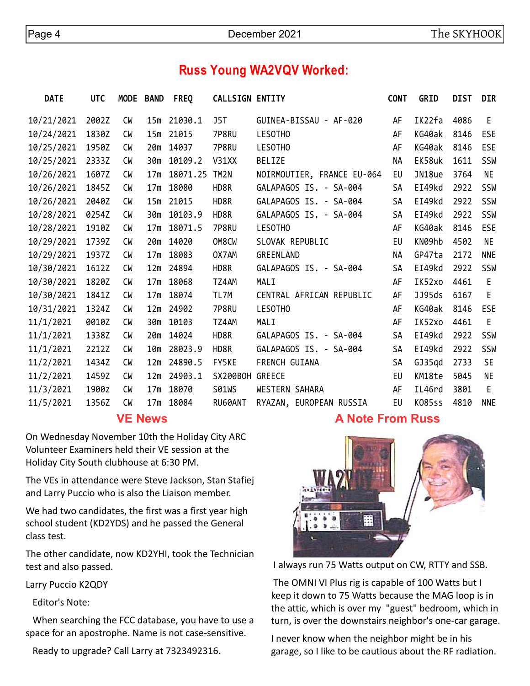# **Russ Young WA2VQV Worked:**

| <b>DATE</b> | <b>UTC</b> | <b>MODE</b> | <b>BAND</b>     | <b>FREQ</b> | <b>CALLSIGN ENTITY</b> |                            | <b>CONT</b> | <b>GRID</b>   | <b>DIST</b> | <b>DIR</b> |
|-------------|------------|-------------|-----------------|-------------|------------------------|----------------------------|-------------|---------------|-------------|------------|
| 10/21/2021  | 2002Z      | <b>CM</b>   | 15m             | 21030.1     | J5T                    | GUINEA-BISSAU - AF-020     | AF          | IK22fa        | 4086        | E          |
| 10/24/2021  | 1830Z      | CW          | 15m             | 21015       | 7P8RU                  | LESOTHO                    | AF          | KG40ak        | 8146        | ESE        |
| 10/25/2021  | 1950Z      | СW          | 20m             | 14037       | 7P8RU                  | LESOTHO                    | AF          | KG40ak        | 8146        | <b>ESE</b> |
| 10/25/2021  | 2333Z      | CW          | 30m             | 10109.2     | V31XX                  | <b>BELIZE</b>              | <b>NA</b>   | EK58uk        | 1611        | SSW        |
| 10/26/2021  | 1607Z      | <b>CW</b>   | 17 <sub>m</sub> | 18071.25    | TM2N                   | NOIRMOUTIER, FRANCE EU-064 | EU          | JN18ue        | 3764        | NE.        |
| 10/26/2021  | 1845Z      | <b>CM</b>   | 17 <sub>m</sub> | 18080       | HD8R                   | GALAPAGOS IS. - SA-004     | SA          | EI49kd        | 2922        | SSW        |
| 10/26/2021  | 2040Z      | CW          | 15m             | 21015       | HD8R                   | GALAPAGOS IS. - SA-004     | SA          | EI49kd        | 2922        | SSW        |
| 10/28/2021  | 0254Z      | <b>CW</b>   | 30m             | 10103.9     | HD8R                   | GALAPAGOS IS. - SA-004     | SA          | EI49kd        | 2922        | SSW        |
| 10/28/2021  | 1910Z      | CW          | 17 <sub>m</sub> | 18071.5     | 7P8RU                  | LESOTHO                    | AF          | KG40ak        | 8146        | <b>ESE</b> |
| 10/29/2021  | 1739Z      | <b>CW</b>   | 20 <sub>m</sub> | 14020       | OM8CW                  | SLOVAK REPUBLIC            | EU          | KN09hb        | 4502        | <b>NE</b>  |
| 10/29/2021  | 1937Z      | СW          | 17 <sub>m</sub> | 18083       | OX7AM                  | GREENLAND                  | NА          | GP47ta        | 2172        | <b>NNE</b> |
| 10/30/2021  | 1612Z      | CW          | 12m             | 24894       | HD8R                   | GALAPAGOS IS. - SA-004     | SA          | EI49kd        | 2922        | SSW        |
| 10/30/2021  | 1820Z      | <b>CW</b>   | 17 <sub>m</sub> | 18068       | TZ4AM                  | MALI                       | AF          | IK52xo        | 4461        | E          |
| 10/30/2021  | 1841Z      | <b>CM</b>   | 17 <sub>m</sub> | 18074       | TL7M                   | CENTRAL AFRICAN REPUBLIC   | AF          | JJ95ds        | 6167        | E          |
| 10/31/2021  | 1324Z      | CW          | 12m             | 24902       | 7P8RU                  | LESOTHO                    | AF          | KG40ak        | 8146        | ESE        |
| 11/1/2021   | 0010Z      | <b>CW</b>   | 30m             | 10103       | TZ4AM                  | MALI                       | AF          | IK52xo        | 4461        | E          |
| 11/1/2021   | 1338Z      | <b>CM</b>   | 20 <sub>m</sub> | 14024       | HD8R                   | GALAPAGOS IS. - SA-004     | <b>SA</b>   | EI49kd        | 2922        | SSW        |
| 11/1/2021   | 2212Z      | CW          | 10m             | 28023.9     | HD8R                   | GALAPAGOS IS. - SA-004     | SA          | EI49kd        | 2922        | SSW        |
| 11/2/2021   | 1434Z      | СW          | 12 <sub>m</sub> | 24890.5     | FY5KE                  | FRENCH GUIANA              | <b>SA</b>   | GJ35qd        | 2733        | <b>SE</b>  |
| 11/2/2021   | 1459Z      | <b>CM</b>   | 12m             | 24903.1     | SX200BOH               | <b>GREECE</b>              | EU          | KM18te        | 5045        | <b>NE</b>  |
| 11/3/2021   | 1900z      | <b>CW</b>   | 17 <sub>m</sub> | 18070       | <b>S01WS</b>           | WESTERN SAHARA             | AF          | IL46rd        | 3801        | E          |
| 11/5/2021   | 1356Z      | <b>CM</b>   | 17 <sub>m</sub> | 18084       | RU60ANT                | RYAZAN, EUROPEAN RUSSIA    | EU          | <b>K085ss</b> | 4810        | <b>NNE</b> |
|             |            |             |                 |             |                        |                            |             |               |             |            |

### **VE News**

On Wednesday November 10th the Holiday City ARC Volunteer Examiners held their VE session at the Holiday City South clubhouse at 6:30 PM.

The VEs in attendance were Steve Jackson, Stan Stafiej and Larry Puccio who is also the Liaison member.

We had two candidates, the first was a first year high school student (KD2YDS) and he passed the General class test.

The other candidate, now KD2YHI, took the Technician test and also passed.

Larry Puccio K2QDY

Editor's Note:

 When searching the FCC database, you have to use a space for an apostrophe. Name is not case-sensitive.

Ready to upgrade? Call Larry at 7323492316.

## **A Note From Russ**



I always run 75 Watts output on CW, RTTY and SSB.

 The OMNI VI Plus rig is capable of 100 Watts but I keep it down to 75 Watts because the MAG loop is in the attic, which is over my "guest" bedroom, which in turn, is over the downstairs neighbor's one-car garage.

I never know when the neighbor might be in his garage, so I like to be cautious about the RF radiation.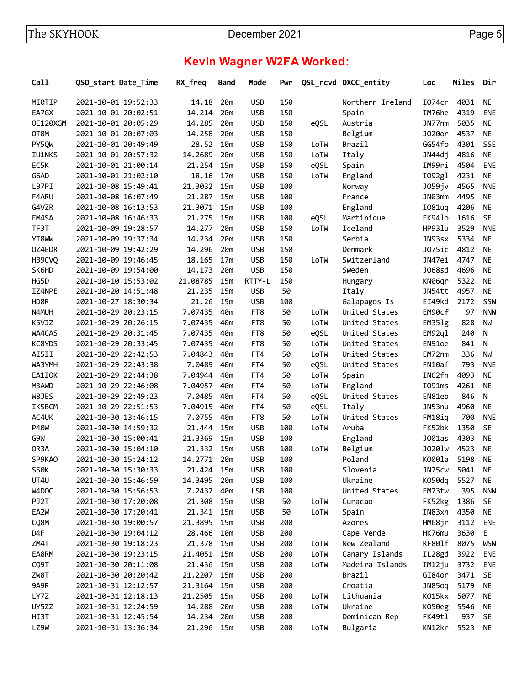# **Kevin Wagner W2FA Worked:**

| Call              | QSO start Date Time | RX_freq  | Band            | Mode       | Pwr |      | QSL_rcvd DXCC_entity | Loc                | Miles | Dir        |
|-------------------|---------------------|----------|-----------------|------------|-----|------|----------------------|--------------------|-------|------------|
| MI0TIP            | 2021-10-01 19:52:33 | 14.18    | 20m             | <b>USB</b> | 150 |      | Northern Ireland     | I074cr             | 4031  | NE         |
| EA7GX             | 2021-10-01 20:02:51 | 14.214   | 20m             | <b>USB</b> | 150 |      | Spain                | IM76he             | 4319  | <b>ENE</b> |
| OE120XGM          | 2021-10-01 20:05:29 | 14.285   | 20m             | <b>USB</b> | 150 | eQSL | Austria              | JN77nm             | 5035  | <b>NE</b>  |
| OT8M              | 2021-10-01 20:07:03 | 14.258   | 20m             | <b>USB</b> | 150 |      | Belgium              | J020or             | 4537  | <b>NE</b>  |
| PY5QW             | 2021-10-01 20:49:49 | 28.52    | 10m             | <b>USB</b> | 150 | LoTW | Brazil               | GG54fo             | 4301  | <b>SSE</b> |
| <b>IU1NKS</b>     | 2021-10-01 20:57:32 | 14.2689  | 20m             | <b>USB</b> | 150 | LoTW | Italy                | JN44dj             | 4816  | <b>NE</b>  |
| EC5K              | 2021-10-01 21:00:14 | 21.254   | 15m             | <b>USB</b> | 150 | eQSL | Spain                | IM99ri             | 4504  | <b>ENE</b> |
| G6AD              | 2021-10-01 21:02:10 | 18.16    | 17m             | <b>USB</b> | 150 | LoTW | England              | I092g1             | 4231  | <b>NE</b>  |
| LB7PI             | 2021-10-08 15:49:41 | 21.3032  | 15m             | <b>USB</b> | 100 |      | Norway               | J059jv             | 4565  | <b>NNE</b> |
| F4ARU             | 2021-10-08 16:07:49 | 21.287   | 15m             | <b>USB</b> | 100 |      | France               | JN03mm             | 4495  | <b>NE</b>  |
| G4VZR             | 2021-10-08 16:13:53 | 21.3071  | 15m             | <b>USB</b> | 100 |      | England              | I081uq             | 4206  | <b>NE</b>  |
| FM4SA             | 2021-10-08 16:46:33 | 21.275   | 15 <sub>m</sub> | <b>USB</b> | 100 | eQSL | Martinique           | FK941o             | 1616  | <b>SE</b>  |
| TF3T              | 2021-10-09 19:28:57 | 14.277   | 20m             | <b>USB</b> | 150 | LoTW | Iceland              | HP931u             | 3529  | <b>NNF</b> |
| YT8WW             | 2021-10-09 19:37:34 | 14.234   | 20m             | <b>USB</b> | 150 |      | Serbia               | JN93sx             | 5334  | <b>NE</b>  |
| OZ4EDR            | 2021-10-09 19:42:29 | 14.296   | 20m             | <b>USB</b> | 150 |      | Denmark              | J075ic             | 4812  | <b>NE</b>  |
| HB9CVQ            | 2021-10-09 19:46:45 | 18.165   | 17 <sub>m</sub> | <b>USB</b> | 150 | LoTW | Switzerland          | JN47ei             | 4747  | <b>NE</b>  |
| SK6HD             | 2021-10-09 19:54:00 | 14.173   | 20m             | <b>USB</b> | 150 |      | Sweden               | J068sd             | 4696  | <b>NE</b>  |
|                   |                     |          |                 |            |     |      |                      |                    |       | <b>NE</b>  |
| HG5D              | 2021-10-10 15:53:02 | 21.08785 | 15m             | RTTY-L     | 150 |      | Hungary              | KN06qr             | 5322  |            |
| IZ4NPE            | 2021-10-20 14:51:48 | 21.235   | 15m             | <b>USB</b> | 50  |      | Italy                | JN54tt             | 4957  | <b>NE</b>  |
| HD8R              | 2021-10-27 18:30:34 | 21.26    | 15m             | <b>USB</b> | 100 |      | Galapagos Is         | EI49kd             | 2172  | SSW        |
| N4MUH             | 2021-10-29 20:23:15 | 7.07435  | 40m             | FT8        | 50  | LoTW | United States        | EM90cf             | 97    | <b>NNW</b> |
| K5VJZ             | 2021-10-29 20:26:15 | 7.07435  | 40m             | FT8        | 50  | LoTW | United States        | EM351g             | 828   | <b>NW</b>  |
| WA4CAS            | 2021-10-29 20:31:45 | 7.07435  | 40m             | FT8        | 50  | eQSL | United States        | EM92q1             | 240   | N          |
| KC8YDS            | 2021-10-29 20:33:45 | 7.07435  | 40m             | FT8        | 50  | LoTW | United States        | EN91oe             | 841   | N          |
| AI5II             | 2021-10-29 22:42:53 | 7.04843  | 40m             | FT4        | 50  | LoTW | United States        | EM72nm             | 336   | <b>NW</b>  |
| WA3YMH            | 2021-10-29 22:43:38 | 7.0489   | 40m             | FT4        | 50  | eQSL | United States        | FN10af             | 793   | <b>NNE</b> |
| EA1IOK            | 2021-10-29 22:44:38 | 7.04944  | 40m             | FT4        | 50  | LoTW | Spain                | IN62fn             | 4093  | <b>NE</b>  |
| M3AWD             | 2021-10-29 22:46:08 | 7.04957  | 40m             | FT4        | 50  | LoTW | England              | I091ms             | 4261  | <b>NE</b>  |
| W8JES             | 2021-10-29 22:49:23 | 7.0485   | 40m             | FT4        | 50  | eQSL | United States        | EN81eb             | 846   | N          |
| IK5BCM            | 2021-10-29 22:51:53 | 7.04915  | 40m             | FT4        | 50  | eQSL | Italy                | JN53nu             | 4960  | <b>NE</b>  |
| AC4UK             | 2021-10-30 13:46:15 | 7.0755   | 40m             | FT8        | 50  | LoTW | United States        | FM18iq             | 700   | <b>NNE</b> |
| <b>P40W</b>       | 2021-10-30 14:59:32 | 21,444   | 15m             | <b>USB</b> | 100 | LoTW | Aruba                | FK52bk             | 1350  | <b>SE</b>  |
| G9W               | 2021-10-30 15:00:41 | 21.3369  | 15m             | <b>USB</b> | 100 |      | England              | J001as             | 4303  | <b>NE</b>  |
| OR <sub>3</sub> A | 2021-10-30 15:04:10 | 21.332   | 15m             | <b>USB</b> | 100 | LoTW | Belgium              | J0201 <sub>w</sub> | 4523  | <b>NE</b>  |
| SP9KA0            | 2021-10-30 15:24:12 | 14.2771  | 20m             | <b>USB</b> | 100 |      | Poland               | K000la             | 5198  | <b>NE</b>  |
| <b>S50K</b>       | 2021-10-30 15:30:33 | 21.424   | 15m             | <b>USB</b> | 100 |      | Slovenia             | JN75cw             | 5041  | NE         |
| UT4U              | 2021-10-30 15:46:59 | 14.3495  | 20m             | <b>USB</b> | 100 |      | Ukraine              | K050dq             | 5527  | NE         |
| W4DOC             | 2021-10-30 15:56:53 | 7.2437   | 40m             | <b>LSB</b> | 100 |      | United States        | EM73tw             | 395   | <b>NNW</b> |
| PJ2T              | 2021-10-30 17:20:08 | 21.308   | 15m             | <b>USB</b> | 50  | LoTW | Curacao              | FK52kg             | 1386  | <b>SE</b>  |
| EA2W              | 2021-10-30 17:20:41 | 21.341   | 15m             | <b>USB</b> | 50  | LoTW | Spain                | IN83xh             | 4350  | <b>NE</b>  |
| CQ8M              | 2021-10-30 19:00:57 | 21.3895  | 15m             | <b>USB</b> | 200 |      | Azores               | HM68jr             | 3112  | <b>ENE</b> |
| D4F               | 2021-10-30 19:04:12 | 28.466   | 10m             | <b>USB</b> | 200 |      | Cape Verde           | HK76mu             | 3630  | E          |
| ZM4T              | 2021-10-30 19:18:23 | 21.378   | 15m             | <b>USB</b> | 200 | LoTW | New Zealand          | RF801f             | 8075  | <b>WSW</b> |
| EA8RM             | 2021-10-30 19:23:15 | 21.4051  | 15m             | <b>USB</b> | 200 | LoTW | Canary Islands       | IL28gd             | 3922  | <b>ENE</b> |
| CQ9T              | 2021-10-30 20:11:08 | 21.436   | 15m             | <b>USB</b> | 200 | LoTW | Madeira Islands      | IM12ju             | 3732  | <b>ENE</b> |
| ZW8T              | 2021-10-30 20:20:42 | 21.2207  | 15m             | <b>USB</b> | 200 |      | Brazil               | GI84or             | 3471  | <b>SE</b>  |
| 9A9R              | 2021-10-31 12:12:57 | 21.3164  | 15m             | <b>USB</b> | 200 |      | Croatia              | JN85oq             | 5179  | <b>NE</b>  |
| LY7Z              | 2021-10-31 12:18:13 | 21.2505  | 15m             | <b>USB</b> | 200 | LoTW | Lithuania            | K015kx             | 5077  | <b>NE</b>  |
| UY5ZZ             | 2021-10-31 12:24:59 | 14.288   | 20m             | <b>USB</b> | 200 | LoTW | Ukraine              | K050eg             | 5546  | <b>NE</b>  |
| HI3T              | 2021-10-31 12:45:54 | 14.234   | 20m             | <b>USB</b> | 200 |      | Dominican Rep        | FK49tl             | 937   | <b>SE</b>  |
| LZ9W              | 2021-10-31 13:36:34 | 21.296   | 15m             | <b>USB</b> | 200 | LoTW | Bulgaria             | KN12kr             | 5523  | NE         |
|                   |                     |          |                 |            |     |      |                      |                    |       |            |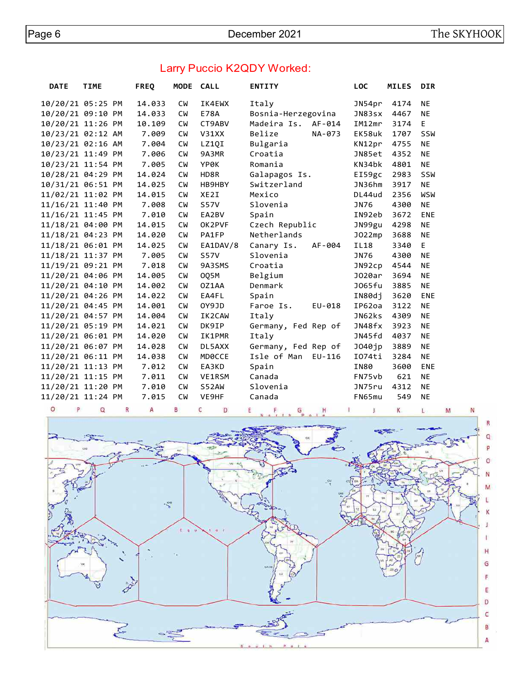## Larry Puccio K2QDY Worked:

| <b>DATE</b> | <b>TIME</b>       | <b>FREQ</b> | MODE CALL |                   | <b>ENTITY</b>           | <b>LOC</b>  | <b>MILES</b> | <b>DIR</b> |
|-------------|-------------------|-------------|-----------|-------------------|-------------------------|-------------|--------------|------------|
|             | 10/20/21 05:25 PM | 14.033      | <b>CW</b> | IK4EWX            | Italy                   | JN54pr      | 4174         | <b>NE</b>  |
|             | 10/20/21 09:10 PM | 14.033      | <b>CW</b> | <b>E78A</b>       | Bosnia-Herzegovina      | JN83sx      | 4467         | <b>NE</b>  |
|             | 10/20/21 11:26 PM | 10.109      | <b>CW</b> | CT9ABV            | Madeira Is.<br>AF-014   | IM12mr      | 3174         | E          |
|             | 10/23/21 02:12 AM | 7.009       | <b>CW</b> | V31XX             | Belize<br>NA-073        | EK58uk      | 1707         | SSW        |
|             | 10/23/21 02:16 AM | 7.004       | <b>CW</b> | LZ10I             | Bulgaria                | KN12pr      | 4755         | <b>NE</b>  |
|             | 10/23/21 11:49 PM | 7.006       | <b>CW</b> | 9A3MR             | Croatia                 | JN85et      | 4352         | <b>NE</b>  |
|             | 10/23/21 11:54 PM | 7.005       | <b>CW</b> | <b>YP0K</b>       | Romania                 | KN34bk      | 4801         | <b>NE</b>  |
|             | 10/28/21 04:29 PM | 14.024      | <b>CW</b> | HD8R              | Galapagos Is.           | EI59gc      | 2983         | SSW        |
|             | 10/31/21 06:51 PM | 14.025      | <b>CM</b> | HB9HBY            | Switzerland             | JN36hm      | 3917         | <b>NE</b>  |
|             | 11/02/21 11:02 PM | 14.015      | <b>CW</b> | XE <sub>2</sub> I | Mexico                  | DL44ud      | 2356         | <b>WSW</b> |
|             | 11/16/21 11:40 PM | 7.008       | <b>CW</b> | <b>S57V</b>       | Slovenia                | JN76        | 4300         | <b>NE</b>  |
|             | 11/16/21 11:45 PM | 7.010       | <b>CW</b> | EA2BV             | Spain                   | IN92eb      | 3672         | <b>ENE</b> |
|             | 11/18/21 04:00 PM | 14.015      | <b>CW</b> | OK2PVF            | Czech Republic          | JN99gu      | 4298         | <b>NE</b>  |
|             | 11/18/21 04:23 PM | 14.020      | <b>CW</b> | PA1FP             | Netherlands             | J022mp      | 3688         | <b>NE</b>  |
|             | 11/18/21 06:01 PM | 14.025      | <b>CW</b> | EA1DAV/8          | Canary Is.<br>AF-004    | <b>IL18</b> | 3340         | E          |
|             | 11/18/21 11:37 PM | 7.005       | <b>CW</b> | <b>S57V</b>       | Slovenia                | JN76        | 4300         | <b>NE</b>  |
|             | 11/19/21 09:21 PM | 7.018       | <b>CM</b> | 9A3SMS            | Croatia                 | JN92cp      | 4544         | <b>NE</b>  |
|             | 11/20/21 04:06 PM | 14.005      | <b>CW</b> | 005M              | Belgium                 | J020ar      | 3694         | <b>NE</b>  |
|             | 11/20/21 04:10 PM | 14.002      | <b>CW</b> | OZ1AA             | Denmark                 | J065fu      | 3885         | <b>NE</b>  |
|             | 11/20/21 04:26 PM | 14.022      | <b>CM</b> | EA4FL             | Spain                   | IN80dj      | 3620         | ENE        |
|             | 11/20/21 04:45 PM | 14.001      | <b>CW</b> | OY9JD             | Faroe Is.<br>EU-018     | IP62oa      | 3122         | <b>NE</b>  |
|             | 11/20/21 04:57 PM | 14.004      | <b>CW</b> | IK2CAW            | Italy                   | JN62ks      | 4309         | <b>NE</b>  |
|             | 11/20/21 05:19 PM | 14.021      | <b>CW</b> | DK9IP             | Germany, Fed Rep of     | JN48fx      | 3923         | <b>NE</b>  |
|             | 11/20/21 06:01 PM | 14.020      | <b>CW</b> | <b>IK1PMR</b>     | Italy                   | JN45fd      | 4037         | <b>NE</b>  |
|             | 11/20/21 06:07 PM | 14.028      | <b>CW</b> | DL5AXX            | Germany, Fed Rep of     | J040jp      | 3889         | <b>NE</b>  |
|             | 11/20/21 06:11 PM | 14.038      | <b>CW</b> | MD0CCE            | Isle of Man<br>$EU-116$ | I074ti      | 3284         | <b>NE</b>  |
|             | 11/20/21 11:13 PM | 7.012       | <b>CW</b> | EA3KD             | Spain                   | <b>IN80</b> | 3600         | ENE        |
|             | 11/20/21 11:15 PM | 7.011       | <b>CW</b> | VE1RSM            | Canada                  | FN75vb      | 621          | <b>NE</b>  |
|             | 11/20/21 11:20 PM | 7.010       | <b>CW</b> | S52AW             | Slovenia                | JN75ru      | 4312         | <b>NE</b>  |
|             | 11/20/21 11:24 PM | 7.015       | <b>CW</b> | VE9HF             | Canada                  | FN65mu      | 549          | <b>NE</b>  |

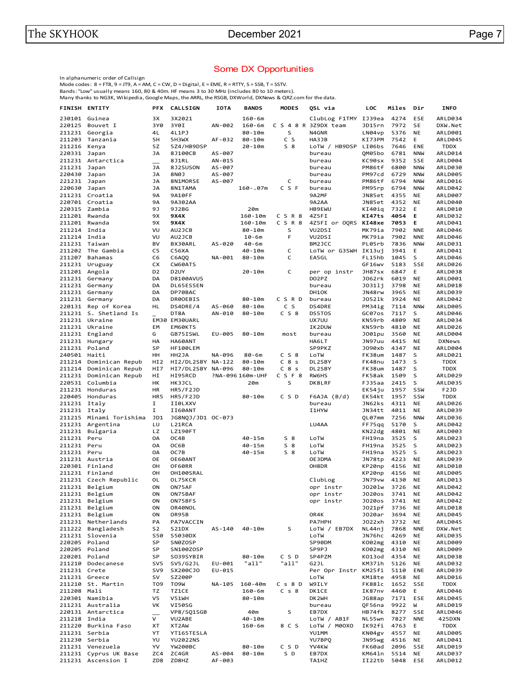#### Some DX Opportunities

In alphanumeric order of Callsign

Mode codes: 8 = FT8, 9 = JT9, A = AM, C = CW, D = Digital, E = EME, R = RTTY, S = SSB, T = SSTV.<br>Bands: "Low" usually means 160, 80 & 40m. HF means 3 to 30 MHz (includes 80 to 10 meters).<br>Many thanks to NG3K, Wikipedia, G

| 4274<br>ARLD034<br>230101 Guinea<br>ЗΧ<br>3X2021<br>$160 - 6m$<br>ClubLog F1TMY IJ39ea<br>ESE<br>3Y0<br>7972<br>SE<br>220125<br>Bouvet I<br>3Y0I<br>AN-002<br>$160 - 6m$<br>C S 4 8 R 3Z9DX team<br>JD15rn<br>DXW.Net<br>S<br>211231<br>Georgia<br>4L<br>4L1PJ<br>$80 - 10m$<br>N4GNR<br>LN04vp<br>5376<br>NE<br>ARLD001<br>C S<br>211203<br>5Н<br>5H3WX<br>$80 - 10m$<br>HA3JB<br>KI73PM<br>7542<br>Е<br>ARLD045<br>Tanzania<br>AF-032<br>$S_8$<br>211216<br>5Z<br>LoTW / HB9DSP<br>LI06bs<br>7646<br>Kenya<br>5Z4/HB9DSP<br>20-10m<br>ENE<br>TDDX<br>220331 Japan<br>JА<br>8J100CB<br>AS-007<br>QM05bo<br>6781<br><b>NNW</b><br>ARLD014<br>bureau<br>211231 Antarctica<br>8J1RL<br>AN-015<br>KC90sx<br>9352<br><b>SSE</b><br>ARLD004<br>bureau<br>211231<br>JА<br>8J2SUSON<br>6800<br><b>NNW</b><br>Japan<br>AS-007<br>bureau<br>PM86tf<br>ARLD030<br>220430<br>Japan<br>JА<br>8N0J<br>AS-007<br>PM97cd<br>6729<br><b>NNW</b><br><b>ARLD005</b><br>bureau<br>C<br>221231<br>JА<br>8N1MORSE<br>AS-007<br>PM86tf<br>6794<br><b>NNW</b><br>ARLD016<br>Japan<br>bureau<br>CSF<br>220630<br>JА<br>6794<br><b>NNW</b><br>Japan<br>8N1TAMA<br>160-.07m<br>bureau<br>PM95rp<br>ARLD042<br>4355<br>211231 Croatia<br>9Α<br>9A10FF<br>9A2MF<br>JN85et<br>NE<br><b>ARLD007</b><br>220701 Croatia<br>9Α<br><b>9A2AA</b><br>JN85et<br>4352<br>NE<br>ARLD040<br>9A302AA<br>220315 Zambia<br>9J<br>9J2BG<br>20m<br>HB9EWU<br>KI40iq<br>7322<br>E<br>ARLD010<br>CSR8<br>KI47ts<br>4054<br>211201 Rwanda<br>9X<br>9X4X<br>$160 - 10m$<br>4Z5FI<br>Е<br>ARLD032<br>CSR8<br>211201<br>Rwanda<br>9Χ<br>9X4X<br>$160 - 10m$<br>4Z5FI or OQRS<br>KI48xe<br>7053<br>Е<br>ARLD041<br>211214 India<br>VU<br>AU2JCB<br>$80 - 10m$<br>s<br>VU2DSI<br>MK79ia<br>7902<br><b>NNE</b><br>ARLD046<br>F<br>MK79ia<br>7902<br>211214 India<br>VU<br>AU2JCB<br>$10 - 6m$<br>VU2DSI<br><b>NNE</b><br>ARLD046<br>BV<br>PL05rb<br>7836<br><b>NNW</b><br>211231 Taiwan<br>BX30ARL<br>AS-020<br>BM2JCC<br>ARLD031<br>40-6m<br>C<br>211202 The Gambia<br>C5<br>C56XA<br>40-10m<br>LoTW or G3SWH IK13uj<br>3941<br>E<br>ARLD041<br>C<br>1045<br>S<br>211207<br><b>Bahamas</b><br>C6<br>C6AQQ<br>NA-001<br>80-10m<br>EA5GL<br>FL15hb<br>ARLD046<br>SSE<br>211231 Uruguay<br>СX<br>CW60ATS<br>GF16wv<br>5183<br>ARLD026<br>C<br>211201 Angola<br>D <sub>2</sub><br>D <sub>2</sub> UY<br>20-10m<br>per op instr<br>JH87sx<br>6847<br>E<br>ARLD038<br>6019<br>211231 Germany<br>DA<br><b>D8100AVUS</b><br>DO2PZ<br>J062rk<br>NE<br>ARLD001<br>211231 Germany<br>DA<br>DL65ESSEN<br>J0311i<br>3798<br>NE<br>ARLD018<br>bureau<br>211231 Germany<br>DA<br>DP70BAC<br>DH1OK<br>JN48rw<br>3965<br>NE<br>ARLD039<br>$80 - 10m$<br>CSRD<br>J0521k<br>3924<br>211231 Germany<br>DA<br>DR00EBIS<br>NE<br>ARLD042<br>bureau<br>C S<br>7114<br><b>NNW</b><br><b>ARLD005</b><br>220131<br>Rep of Korea<br>HL<br>DS4DRE/4<br>AS-060<br>$80 - 10m$<br>DS4DRE<br>PM34ig<br>C S 8<br>211231 S. Shetland Is<br>DT8A<br>AN-010<br>$80 - 10m$<br>DS5T0S<br>GC07os<br>7117<br>s<br>ARLD046<br>$\equiv$<br>KN59rb<br>4809<br><b>NE</b><br>211231 Ukraine<br>EM30 EM30UARL<br>UX7UU<br>ARLD034<br>4810<br>211231 Ukraine<br>EM<br>EM60KTS<br>IK2DUW<br>KN59rb<br>NE<br>ARLD026<br>211231 England<br>3560<br>G<br>GB75ISWL<br>EU-005<br>$80 - 10m$<br>most<br>J001pu<br>NE<br>ARLD004<br>bureau<br>JN97uu<br>4415<br>211231 Hungary<br>HA<br>HA60ANT<br>HA6LT<br>NE<br><b>DXNews</b><br>211231 Poland<br>SP<br>HF100LEM<br>SP9PKZ<br>J090xb<br>4347<br><b>NE</b><br>ARLD004<br>240501 Haiti<br>$80 - 6m$<br>C S 8<br>1487<br>S<br>HH<br>HH2JA<br>NA-096<br>LoTW<br>FK38um<br>ARLD021<br>C8s<br>FK48nu<br>S<br><b>TDDX</b><br>211214 Dominican Repub<br>HI <sub>2</sub><br>HI2/DL2SBY NA-122<br>$80 - 10m$<br>DL2SBY<br>1473<br>HI7<br>$C_8s$<br>1487<br>S<br><b>TDDX</b><br>211214 Dominican Repub<br>HI7/DL2SBY NA-096<br>$80 - 10m$<br>DL2SBY<br>FK38um<br>211231 Dominican Repub<br>HI95RCD<br>CSF8<br>S<br>НI<br>?NA-096 160m-UHF<br><b>RW6HS</b><br>FK58ak<br>1509<br>ARLD029<br>S<br>S<br>220531 Columbia<br>HK<br>HK3JCL<br>20m<br>DK8LRF<br>FJ35aa<br>2415<br><b>ARLD035</b><br>211231 Honduras<br>EK54ju<br>SSW<br>F <sub>2JD</sub><br>HR<br><b>HR5/F2JD</b><br>1957<br>HR5<br>C S D<br>1957<br><b>TDDX</b><br>220405 Honduras<br><b>HR5/F2JD</b><br>80-10m<br>F6AJA (B/d)<br>EK54kt<br>SSW<br>I.<br>4311<br>211231 Italy<br>II0LXXV<br>bureau<br>JN62ks<br><b>NE</b><br>ARLD026<br>I.<br><b>ARLD039</b><br>211231 Italy<br>II60ANT<br><b>I1HYW</b><br>JN34tt<br>4011<br>NE<br>211215 Minami Torishima<br>JD1<br>JG8NQJ/JD1 0C-073<br>QL07mm<br>7256<br><b>NNW</b><br>ARLD036<br>5170<br>S<br>211231 Argentina<br>LU<br>L21RCA<br>LU4AA<br>FF75qq<br>ARLD042<br>211231 Bulgaria<br>LZ<br>LZ190FT<br>KN22dg<br>4801<br><b>NE</b><br>ARLD003<br>$40 - 15m$<br>$S_8$<br>211231 Peru<br>OA<br>OC4B<br>LoTW<br>FH19na<br>3525<br>s<br>ARLD023<br>$S_8$<br>3525<br>S<br>211231 Peru<br>OA<br>OC6B<br>$40 - 15m$<br>LoTW<br>FH19na<br>ARLD023<br>$S_8$<br>3525<br>211231 Peru<br>OA<br>OC7B<br>$40 - 15m$<br>LoTW<br>FH19na<br>s<br>ARLD023<br>211231 Austria<br>0E<br>4223<br>OE60ANT<br>OE3DMA<br>JN78tp<br><b>NE</b><br>ARLD039<br>220301 Finland<br>OH<br>OH8DR<br>KP20np<br>4156<br>NE<br>ARLD010<br>OF60RR<br>211231 Finland<br>OH<br>OH100SRAL<br>KP20np<br>4156<br>NE<br><b>ARLD005</b><br>211231 Czech Republic<br>OL<br>OL75KCR<br>ClubLog<br>JN79vw<br>4130<br>NE<br>ARLD013<br>ON<br>211231 Belgium<br>ON75AF<br>J0201w<br>3726<br><b>NE</b><br>ARLD042<br>opr instr<br>ON<br>211231 Belgium<br>ON75BAF<br>J020os<br>3741<br>ΝE<br>ARLD042<br>opr instr<br>211231 Belgium<br>ON<br>ON75BFS<br>opr instr<br>J020os<br>3741<br>ARLD042<br>ΝE<br>211231 Belgium<br>JO21pf<br>3736<br>ARLD018<br>ON<br>OR40NOL<br>NE<br>211231 Belgium<br>OR4K<br>J020ar<br>3694<br><b>ARLD045</b><br>ON<br>OR95B<br>NE<br>J022xh<br>211231 Netherlands<br>PA<br>PA7VACCIN<br>PA7HPH<br>3732<br>ARLD045<br>ΝE<br>211222 Bangladesh<br>S2<br>S21DX<br>AS-140<br>$40 - 10m$<br>S<br>LoTW / EB7DX<br>NL44ni<br>7868<br><b>NNE</b><br>DXW.Net<br>JN76hc<br>4269<br>211231 Slovenia<br>S50<br>S5030DX<br>LoTW<br>NE<br><b>ARLD035</b><br>SP<br>K002mg<br>220205 Poland<br>SN0ZOSP<br>SP90DM<br>4310<br>NE<br><b>ARLD009</b><br>220205 Poland<br>SP<br>SN100ZOSP<br>SP9PJ<br>K002mg<br>4310<br>NE<br><b>ARLD009</b><br>SP<br>K013od<br>220201 Poland<br>S039SYBIR<br>80-10m<br>CSD<br>SP4PZM<br>4354<br>NE<br>ARLD038<br>"all"<br>"all"<br>211210 Dodecanese<br>SV5<br>SV5/G2JL<br>EU-001<br>G2JL<br>KM37ih<br>5126<br><b>ARLD032</b><br>ΝE<br>211231 Crete<br>SV9<br>SX200CJ0<br>EU-015<br>Per Opr Instr<br>KM25fi<br>5110<br>ENE<br>ARLD039<br>sv<br>4958<br>211231 Greece<br>SZ200P<br>LoTW<br>KM18te<br>NE<br>ARLD016<br>211210 St. Martin<br>T09<br>T09W<br>NA-105<br>$160 - 40m$<br>C s 8 D<br>W9ILY<br>FK881c<br>1652<br>SSE<br><b>TDDX</b><br>211208 Mali<br>ΤZ<br>TZ1CE<br>$160 - 6m$<br>$C_S8$<br>DK1CE<br>IK87nv<br>4460<br>Е<br>ARLD046<br>V5<br>220301 Namibia<br>V51WH<br>$80 - 10m$<br>DK2WH<br>JG88ap<br>7171<br>ESE<br>ARLD045<br>211231 Australia<br>VK<br>QF56na<br>9922<br>M<br>ARLD019<br>VI50SG<br>bureau<br>s<br>220131 Antarctica<br>VP8/SQ1SGB<br>40m<br>EB7DX<br>HB74fk<br>8277<br>SSE<br>ARLD046<br>$\overline{\phantom{0}}$<br>211218 India<br>V<br>40-10m<br>NL55wn<br>425DXN<br>VU2ABE<br>LoTW / AB1F<br>7827<br><b>NNE</b><br>8 C S<br>211220 Burkina Faso<br>XT<br>XT2AW<br>$160 - 6m$<br>LoTW / M00X0<br>IK92fi<br>4763<br><b>TDDX</b><br>Е<br>211231 Serbia<br>YU1MM<br>KN04gv<br>4557<br>YT<br>YT165TESLA<br>NE<br><b>ARLD005</b><br>211230 Serbia<br>YU<br>YU7BPQ<br>JN95wg<br><b>YU2022NS</b><br>4516<br>ARLD041<br>ΝE<br>YV<br>211231 Venezuela<br><b>YW200BC</b><br>80-10m<br>C S D<br>YV4KW<br>FK60ad<br>2096<br>SSE<br>ARLD019<br>211231 Cyprus UK Base<br>ZC4GR<br>S D<br>5514<br>ZC4<br>AS-004<br>80-10m<br>EB7DX<br>KM641n<br>NE<br><b>ARLD037</b><br>211231 Ascension I | <b>FINISH ENTITY</b> | <b>PFX</b> | <b>CALLSIGN</b> | <b>IOTA</b> | <b>BANDS</b> | <b>MODES</b> | QSL via | LOC    | Miles | Dir | <b>INFO</b> |
|----------------------------------------------------------------------------------------------------------------------------------------------------------------------------------------------------------------------------------------------------------------------------------------------------------------------------------------------------------------------------------------------------------------------------------------------------------------------------------------------------------------------------------------------------------------------------------------------------------------------------------------------------------------------------------------------------------------------------------------------------------------------------------------------------------------------------------------------------------------------------------------------------------------------------------------------------------------------------------------------------------------------------------------------------------------------------------------------------------------------------------------------------------------------------------------------------------------------------------------------------------------------------------------------------------------------------------------------------------------------------------------------------------------------------------------------------------------------------------------------------------------------------------------------------------------------------------------------------------------------------------------------------------------------------------------------------------------------------------------------------------------------------------------------------------------------------------------------------------------------------------------------------------------------------------------------------------------------------------------------------------------------------------------------------------------------------------------------------------------------------------------------------------------------------------------------------------------------------------------------------------------------------------------------------------------------------------------------------------------------------------------------------------------------------------------------------------------------------------------------------------------------------------------------------------------------------------------------------------------------------------------------------------------------------------------------------------------------------------------------------------------------------------------------------------------------------------------------------------------------------------------------------------------------------------------------------------------------------------------------------------------------------------------------------------------------------------------------------------------------------------------------------------------------------------------------------------------------------------------------------------------------------------------------------------------------------------------------------------------------------------------------------------------------------------------------------------------------------------------------------------------------------------------------------------------------------------------------------------------------------------------------------------------------------------------------------------------------------------------------------------------------------------------------------------------------------------------------------------------------------------------------------------------------------------------------------------------------------------------------------------------------------------------------------------------------------------------------------------------------------------------------------------------------------------------------------------------------------------------------------------------------------------------------------------------------------------------------------------------------------------------------------------------------------------------------------------------------------------------------------------------------------------------------------------------------------------------------------------------------------------------------------------------------------------------------------------------------------------------------------------------------------------------------------------------------------------------------------------------------------------------------------------------------------------------------------------------------------------------------------------------------------------------------------------------------------------------------------------------------------------------------------------------------------------------------------------------------------------------------------------------------------------------------------------------------------------------------------------------------------------------------------------------------------------------------------------------------------------------------------------------------------------------------------------------------------------------------------------------------------------------------------------------------------------------------------------------------------------------------------------------------------------------------------------------------------------------------------------------------------------------------------------------------------------------------------------------------------------------------------------------------------------------------------------------------------------------------------------------------------------------------------------------------------------------------------------------------------------------------------------------------------------------------------------------------------------------------------------------------------------------------------------------------------------------------------------------------------------------------------------------------------------------------------------------------------------------------------------------------------------------------------------------------------------------------------------------------------------------------------------------------------------------------------------------------------------------------------------------------------------------------------------------------------------------------------------------------------------------------------------------------------------------------------------------------------------------------------------------------------------------------------------------------------------------------------------------------------------------------------------------------------------------------------------------------------------------------------------------------------------------------------------------------------------------------------------------------------------------------------------------------------------------------------------------------------------------------------------------------------------------------------------------------------------------------------------------------------------------------------------------------------------------------------------------------------------------------------------------------------------------------------------------------------------------|----------------------|------------|-----------------|-------------|--------------|--------------|---------|--------|-------|-----|-------------|
|                                                                                                                                                                                                                                                                                                                                                                                                                                                                                                                                                                                                                                                                                                                                                                                                                                                                                                                                                                                                                                                                                                                                                                                                                                                                                                                                                                                                                                                                                                                                                                                                                                                                                                                                                                                                                                                                                                                                                                                                                                                                                                                                                                                                                                                                                                                                                                                                                                                                                                                                                                                                                                                                                                                                                                                                                                                                                                                                                                                                                                                                                                                                                                                                                                                                                                                                                                                                                                                                                                                                                                                                                                                                                                                                                                                                                                                                                                                                                                                                                                                                                                                                                                                                                                                                                                                                                                                                                                                                                                                                                                                                                                                                                                                                                                                                                                                                                                                                                                                                                                                                                                                                                                                                                                                                                                                                                                                                                                                                                                                                                                                                                                                                                                                                                                                                                                                                                                                                                                                                                                                                                                                                                                                                                                                                                                                                                                                                                                                                                                                                                                                                                                                                                                                                                                                                                                                                                                                                                                                                                                                                                                                                                                                                                                                                                                                                                                                                                                                                                                                                                                                                                                                                                                                                                                                                                                                                                                                                        |                      |            |                 |             |              |              |         |        |       |     |             |
|                                                                                                                                                                                                                                                                                                                                                                                                                                                                                                                                                                                                                                                                                                                                                                                                                                                                                                                                                                                                                                                                                                                                                                                                                                                                                                                                                                                                                                                                                                                                                                                                                                                                                                                                                                                                                                                                                                                                                                                                                                                                                                                                                                                                                                                                                                                                                                                                                                                                                                                                                                                                                                                                                                                                                                                                                                                                                                                                                                                                                                                                                                                                                                                                                                                                                                                                                                                                                                                                                                                                                                                                                                                                                                                                                                                                                                                                                                                                                                                                                                                                                                                                                                                                                                                                                                                                                                                                                                                                                                                                                                                                                                                                                                                                                                                                                                                                                                                                                                                                                                                                                                                                                                                                                                                                                                                                                                                                                                                                                                                                                                                                                                                                                                                                                                                                                                                                                                                                                                                                                                                                                                                                                                                                                                                                                                                                                                                                                                                                                                                                                                                                                                                                                                                                                                                                                                                                                                                                                                                                                                                                                                                                                                                                                                                                                                                                                                                                                                                                                                                                                                                                                                                                                                                                                                                                                                                                                                                                        |                      |            |                 |             |              |              |         |        |       |     |             |
|                                                                                                                                                                                                                                                                                                                                                                                                                                                                                                                                                                                                                                                                                                                                                                                                                                                                                                                                                                                                                                                                                                                                                                                                                                                                                                                                                                                                                                                                                                                                                                                                                                                                                                                                                                                                                                                                                                                                                                                                                                                                                                                                                                                                                                                                                                                                                                                                                                                                                                                                                                                                                                                                                                                                                                                                                                                                                                                                                                                                                                                                                                                                                                                                                                                                                                                                                                                                                                                                                                                                                                                                                                                                                                                                                                                                                                                                                                                                                                                                                                                                                                                                                                                                                                                                                                                                                                                                                                                                                                                                                                                                                                                                                                                                                                                                                                                                                                                                                                                                                                                                                                                                                                                                                                                                                                                                                                                                                                                                                                                                                                                                                                                                                                                                                                                                                                                                                                                                                                                                                                                                                                                                                                                                                                                                                                                                                                                                                                                                                                                                                                                                                                                                                                                                                                                                                                                                                                                                                                                                                                                                                                                                                                                                                                                                                                                                                                                                                                                                                                                                                                                                                                                                                                                                                                                                                                                                                                                                        |                      |            |                 |             |              |              |         |        |       |     |             |
|                                                                                                                                                                                                                                                                                                                                                                                                                                                                                                                                                                                                                                                                                                                                                                                                                                                                                                                                                                                                                                                                                                                                                                                                                                                                                                                                                                                                                                                                                                                                                                                                                                                                                                                                                                                                                                                                                                                                                                                                                                                                                                                                                                                                                                                                                                                                                                                                                                                                                                                                                                                                                                                                                                                                                                                                                                                                                                                                                                                                                                                                                                                                                                                                                                                                                                                                                                                                                                                                                                                                                                                                                                                                                                                                                                                                                                                                                                                                                                                                                                                                                                                                                                                                                                                                                                                                                                                                                                                                                                                                                                                                                                                                                                                                                                                                                                                                                                                                                                                                                                                                                                                                                                                                                                                                                                                                                                                                                                                                                                                                                                                                                                                                                                                                                                                                                                                                                                                                                                                                                                                                                                                                                                                                                                                                                                                                                                                                                                                                                                                                                                                                                                                                                                                                                                                                                                                                                                                                                                                                                                                                                                                                                                                                                                                                                                                                                                                                                                                                                                                                                                                                                                                                                                                                                                                                                                                                                                                                        |                      |            |                 |             |              |              |         |        |       |     |             |
|                                                                                                                                                                                                                                                                                                                                                                                                                                                                                                                                                                                                                                                                                                                                                                                                                                                                                                                                                                                                                                                                                                                                                                                                                                                                                                                                                                                                                                                                                                                                                                                                                                                                                                                                                                                                                                                                                                                                                                                                                                                                                                                                                                                                                                                                                                                                                                                                                                                                                                                                                                                                                                                                                                                                                                                                                                                                                                                                                                                                                                                                                                                                                                                                                                                                                                                                                                                                                                                                                                                                                                                                                                                                                                                                                                                                                                                                                                                                                                                                                                                                                                                                                                                                                                                                                                                                                                                                                                                                                                                                                                                                                                                                                                                                                                                                                                                                                                                                                                                                                                                                                                                                                                                                                                                                                                                                                                                                                                                                                                                                                                                                                                                                                                                                                                                                                                                                                                                                                                                                                                                                                                                                                                                                                                                                                                                                                                                                                                                                                                                                                                                                                                                                                                                                                                                                                                                                                                                                                                                                                                                                                                                                                                                                                                                                                                                                                                                                                                                                                                                                                                                                                                                                                                                                                                                                                                                                                                                                        |                      |            |                 |             |              |              |         |        |       |     |             |
|                                                                                                                                                                                                                                                                                                                                                                                                                                                                                                                                                                                                                                                                                                                                                                                                                                                                                                                                                                                                                                                                                                                                                                                                                                                                                                                                                                                                                                                                                                                                                                                                                                                                                                                                                                                                                                                                                                                                                                                                                                                                                                                                                                                                                                                                                                                                                                                                                                                                                                                                                                                                                                                                                                                                                                                                                                                                                                                                                                                                                                                                                                                                                                                                                                                                                                                                                                                                                                                                                                                                                                                                                                                                                                                                                                                                                                                                                                                                                                                                                                                                                                                                                                                                                                                                                                                                                                                                                                                                                                                                                                                                                                                                                                                                                                                                                                                                                                                                                                                                                                                                                                                                                                                                                                                                                                                                                                                                                                                                                                                                                                                                                                                                                                                                                                                                                                                                                                                                                                                                                                                                                                                                                                                                                                                                                                                                                                                                                                                                                                                                                                                                                                                                                                                                                                                                                                                                                                                                                                                                                                                                                                                                                                                                                                                                                                                                                                                                                                                                                                                                                                                                                                                                                                                                                                                                                                                                                                                                        |                      |            |                 |             |              |              |         |        |       |     |             |
|                                                                                                                                                                                                                                                                                                                                                                                                                                                                                                                                                                                                                                                                                                                                                                                                                                                                                                                                                                                                                                                                                                                                                                                                                                                                                                                                                                                                                                                                                                                                                                                                                                                                                                                                                                                                                                                                                                                                                                                                                                                                                                                                                                                                                                                                                                                                                                                                                                                                                                                                                                                                                                                                                                                                                                                                                                                                                                                                                                                                                                                                                                                                                                                                                                                                                                                                                                                                                                                                                                                                                                                                                                                                                                                                                                                                                                                                                                                                                                                                                                                                                                                                                                                                                                                                                                                                                                                                                                                                                                                                                                                                                                                                                                                                                                                                                                                                                                                                                                                                                                                                                                                                                                                                                                                                                                                                                                                                                                                                                                                                                                                                                                                                                                                                                                                                                                                                                                                                                                                                                                                                                                                                                                                                                                                                                                                                                                                                                                                                                                                                                                                                                                                                                                                                                                                                                                                                                                                                                                                                                                                                                                                                                                                                                                                                                                                                                                                                                                                                                                                                                                                                                                                                                                                                                                                                                                                                                                                                        |                      |            |                 |             |              |              |         |        |       |     |             |
|                                                                                                                                                                                                                                                                                                                                                                                                                                                                                                                                                                                                                                                                                                                                                                                                                                                                                                                                                                                                                                                                                                                                                                                                                                                                                                                                                                                                                                                                                                                                                                                                                                                                                                                                                                                                                                                                                                                                                                                                                                                                                                                                                                                                                                                                                                                                                                                                                                                                                                                                                                                                                                                                                                                                                                                                                                                                                                                                                                                                                                                                                                                                                                                                                                                                                                                                                                                                                                                                                                                                                                                                                                                                                                                                                                                                                                                                                                                                                                                                                                                                                                                                                                                                                                                                                                                                                                                                                                                                                                                                                                                                                                                                                                                                                                                                                                                                                                                                                                                                                                                                                                                                                                                                                                                                                                                                                                                                                                                                                                                                                                                                                                                                                                                                                                                                                                                                                                                                                                                                                                                                                                                                                                                                                                                                                                                                                                                                                                                                                                                                                                                                                                                                                                                                                                                                                                                                                                                                                                                                                                                                                                                                                                                                                                                                                                                                                                                                                                                                                                                                                                                                                                                                                                                                                                                                                                                                                                                                        |                      |            |                 |             |              |              |         |        |       |     |             |
|                                                                                                                                                                                                                                                                                                                                                                                                                                                                                                                                                                                                                                                                                                                                                                                                                                                                                                                                                                                                                                                                                                                                                                                                                                                                                                                                                                                                                                                                                                                                                                                                                                                                                                                                                                                                                                                                                                                                                                                                                                                                                                                                                                                                                                                                                                                                                                                                                                                                                                                                                                                                                                                                                                                                                                                                                                                                                                                                                                                                                                                                                                                                                                                                                                                                                                                                                                                                                                                                                                                                                                                                                                                                                                                                                                                                                                                                                                                                                                                                                                                                                                                                                                                                                                                                                                                                                                                                                                                                                                                                                                                                                                                                                                                                                                                                                                                                                                                                                                                                                                                                                                                                                                                                                                                                                                                                                                                                                                                                                                                                                                                                                                                                                                                                                                                                                                                                                                                                                                                                                                                                                                                                                                                                                                                                                                                                                                                                                                                                                                                                                                                                                                                                                                                                                                                                                                                                                                                                                                                                                                                                                                                                                                                                                                                                                                                                                                                                                                                                                                                                                                                                                                                                                                                                                                                                                                                                                                                                        |                      |            |                 |             |              |              |         |        |       |     |             |
|                                                                                                                                                                                                                                                                                                                                                                                                                                                                                                                                                                                                                                                                                                                                                                                                                                                                                                                                                                                                                                                                                                                                                                                                                                                                                                                                                                                                                                                                                                                                                                                                                                                                                                                                                                                                                                                                                                                                                                                                                                                                                                                                                                                                                                                                                                                                                                                                                                                                                                                                                                                                                                                                                                                                                                                                                                                                                                                                                                                                                                                                                                                                                                                                                                                                                                                                                                                                                                                                                                                                                                                                                                                                                                                                                                                                                                                                                                                                                                                                                                                                                                                                                                                                                                                                                                                                                                                                                                                                                                                                                                                                                                                                                                                                                                                                                                                                                                                                                                                                                                                                                                                                                                                                                                                                                                                                                                                                                                                                                                                                                                                                                                                                                                                                                                                                                                                                                                                                                                                                                                                                                                                                                                                                                                                                                                                                                                                                                                                                                                                                                                                                                                                                                                                                                                                                                                                                                                                                                                                                                                                                                                                                                                                                                                                                                                                                                                                                                                                                                                                                                                                                                                                                                                                                                                                                                                                                                                                                        |                      |            |                 |             |              |              |         |        |       |     |             |
|                                                                                                                                                                                                                                                                                                                                                                                                                                                                                                                                                                                                                                                                                                                                                                                                                                                                                                                                                                                                                                                                                                                                                                                                                                                                                                                                                                                                                                                                                                                                                                                                                                                                                                                                                                                                                                                                                                                                                                                                                                                                                                                                                                                                                                                                                                                                                                                                                                                                                                                                                                                                                                                                                                                                                                                                                                                                                                                                                                                                                                                                                                                                                                                                                                                                                                                                                                                                                                                                                                                                                                                                                                                                                                                                                                                                                                                                                                                                                                                                                                                                                                                                                                                                                                                                                                                                                                                                                                                                                                                                                                                                                                                                                                                                                                                                                                                                                                                                                                                                                                                                                                                                                                                                                                                                                                                                                                                                                                                                                                                                                                                                                                                                                                                                                                                                                                                                                                                                                                                                                                                                                                                                                                                                                                                                                                                                                                                                                                                                                                                                                                                                                                                                                                                                                                                                                                                                                                                                                                                                                                                                                                                                                                                                                                                                                                                                                                                                                                                                                                                                                                                                                                                                                                                                                                                                                                                                                                                                        |                      |            |                 |             |              |              |         |        |       |     |             |
|                                                                                                                                                                                                                                                                                                                                                                                                                                                                                                                                                                                                                                                                                                                                                                                                                                                                                                                                                                                                                                                                                                                                                                                                                                                                                                                                                                                                                                                                                                                                                                                                                                                                                                                                                                                                                                                                                                                                                                                                                                                                                                                                                                                                                                                                                                                                                                                                                                                                                                                                                                                                                                                                                                                                                                                                                                                                                                                                                                                                                                                                                                                                                                                                                                                                                                                                                                                                                                                                                                                                                                                                                                                                                                                                                                                                                                                                                                                                                                                                                                                                                                                                                                                                                                                                                                                                                                                                                                                                                                                                                                                                                                                                                                                                                                                                                                                                                                                                                                                                                                                                                                                                                                                                                                                                                                                                                                                                                                                                                                                                                                                                                                                                                                                                                                                                                                                                                                                                                                                                                                                                                                                                                                                                                                                                                                                                                                                                                                                                                                                                                                                                                                                                                                                                                                                                                                                                                                                                                                                                                                                                                                                                                                                                                                                                                                                                                                                                                                                                                                                                                                                                                                                                                                                                                                                                                                                                                                                                        |                      |            |                 |             |              |              |         |        |       |     |             |
|                                                                                                                                                                                                                                                                                                                                                                                                                                                                                                                                                                                                                                                                                                                                                                                                                                                                                                                                                                                                                                                                                                                                                                                                                                                                                                                                                                                                                                                                                                                                                                                                                                                                                                                                                                                                                                                                                                                                                                                                                                                                                                                                                                                                                                                                                                                                                                                                                                                                                                                                                                                                                                                                                                                                                                                                                                                                                                                                                                                                                                                                                                                                                                                                                                                                                                                                                                                                                                                                                                                                                                                                                                                                                                                                                                                                                                                                                                                                                                                                                                                                                                                                                                                                                                                                                                                                                                                                                                                                                                                                                                                                                                                                                                                                                                                                                                                                                                                                                                                                                                                                                                                                                                                                                                                                                                                                                                                                                                                                                                                                                                                                                                                                                                                                                                                                                                                                                                                                                                                                                                                                                                                                                                                                                                                                                                                                                                                                                                                                                                                                                                                                                                                                                                                                                                                                                                                                                                                                                                                                                                                                                                                                                                                                                                                                                                                                                                                                                                                                                                                                                                                                                                                                                                                                                                                                                                                                                                                                        |                      |            |                 |             |              |              |         |        |       |     |             |
|                                                                                                                                                                                                                                                                                                                                                                                                                                                                                                                                                                                                                                                                                                                                                                                                                                                                                                                                                                                                                                                                                                                                                                                                                                                                                                                                                                                                                                                                                                                                                                                                                                                                                                                                                                                                                                                                                                                                                                                                                                                                                                                                                                                                                                                                                                                                                                                                                                                                                                                                                                                                                                                                                                                                                                                                                                                                                                                                                                                                                                                                                                                                                                                                                                                                                                                                                                                                                                                                                                                                                                                                                                                                                                                                                                                                                                                                                                                                                                                                                                                                                                                                                                                                                                                                                                                                                                                                                                                                                                                                                                                                                                                                                                                                                                                                                                                                                                                                                                                                                                                                                                                                                                                                                                                                                                                                                                                                                                                                                                                                                                                                                                                                                                                                                                                                                                                                                                                                                                                                                                                                                                                                                                                                                                                                                                                                                                                                                                                                                                                                                                                                                                                                                                                                                                                                                                                                                                                                                                                                                                                                                                                                                                                                                                                                                                                                                                                                                                                                                                                                                                                                                                                                                                                                                                                                                                                                                                                                        |                      |            |                 |             |              |              |         |        |       |     |             |
|                                                                                                                                                                                                                                                                                                                                                                                                                                                                                                                                                                                                                                                                                                                                                                                                                                                                                                                                                                                                                                                                                                                                                                                                                                                                                                                                                                                                                                                                                                                                                                                                                                                                                                                                                                                                                                                                                                                                                                                                                                                                                                                                                                                                                                                                                                                                                                                                                                                                                                                                                                                                                                                                                                                                                                                                                                                                                                                                                                                                                                                                                                                                                                                                                                                                                                                                                                                                                                                                                                                                                                                                                                                                                                                                                                                                                                                                                                                                                                                                                                                                                                                                                                                                                                                                                                                                                                                                                                                                                                                                                                                                                                                                                                                                                                                                                                                                                                                                                                                                                                                                                                                                                                                                                                                                                                                                                                                                                                                                                                                                                                                                                                                                                                                                                                                                                                                                                                                                                                                                                                                                                                                                                                                                                                                                                                                                                                                                                                                                                                                                                                                                                                                                                                                                                                                                                                                                                                                                                                                                                                                                                                                                                                                                                                                                                                                                                                                                                                                                                                                                                                                                                                                                                                                                                                                                                                                                                                                                        |                      |            |                 |             |              |              |         |        |       |     |             |
|                                                                                                                                                                                                                                                                                                                                                                                                                                                                                                                                                                                                                                                                                                                                                                                                                                                                                                                                                                                                                                                                                                                                                                                                                                                                                                                                                                                                                                                                                                                                                                                                                                                                                                                                                                                                                                                                                                                                                                                                                                                                                                                                                                                                                                                                                                                                                                                                                                                                                                                                                                                                                                                                                                                                                                                                                                                                                                                                                                                                                                                                                                                                                                                                                                                                                                                                                                                                                                                                                                                                                                                                                                                                                                                                                                                                                                                                                                                                                                                                                                                                                                                                                                                                                                                                                                                                                                                                                                                                                                                                                                                                                                                                                                                                                                                                                                                                                                                                                                                                                                                                                                                                                                                                                                                                                                                                                                                                                                                                                                                                                                                                                                                                                                                                                                                                                                                                                                                                                                                                                                                                                                                                                                                                                                                                                                                                                                                                                                                                                                                                                                                                                                                                                                                                                                                                                                                                                                                                                                                                                                                                                                                                                                                                                                                                                                                                                                                                                                                                                                                                                                                                                                                                                                                                                                                                                                                                                                                                        |                      |            |                 |             |              |              |         |        |       |     |             |
|                                                                                                                                                                                                                                                                                                                                                                                                                                                                                                                                                                                                                                                                                                                                                                                                                                                                                                                                                                                                                                                                                                                                                                                                                                                                                                                                                                                                                                                                                                                                                                                                                                                                                                                                                                                                                                                                                                                                                                                                                                                                                                                                                                                                                                                                                                                                                                                                                                                                                                                                                                                                                                                                                                                                                                                                                                                                                                                                                                                                                                                                                                                                                                                                                                                                                                                                                                                                                                                                                                                                                                                                                                                                                                                                                                                                                                                                                                                                                                                                                                                                                                                                                                                                                                                                                                                                                                                                                                                                                                                                                                                                                                                                                                                                                                                                                                                                                                                                                                                                                                                                                                                                                                                                                                                                                                                                                                                                                                                                                                                                                                                                                                                                                                                                                                                                                                                                                                                                                                                                                                                                                                                                                                                                                                                                                                                                                                                                                                                                                                                                                                                                                                                                                                                                                                                                                                                                                                                                                                                                                                                                                                                                                                                                                                                                                                                                                                                                                                                                                                                                                                                                                                                                                                                                                                                                                                                                                                                                        |                      |            |                 |             |              |              |         |        |       |     |             |
|                                                                                                                                                                                                                                                                                                                                                                                                                                                                                                                                                                                                                                                                                                                                                                                                                                                                                                                                                                                                                                                                                                                                                                                                                                                                                                                                                                                                                                                                                                                                                                                                                                                                                                                                                                                                                                                                                                                                                                                                                                                                                                                                                                                                                                                                                                                                                                                                                                                                                                                                                                                                                                                                                                                                                                                                                                                                                                                                                                                                                                                                                                                                                                                                                                                                                                                                                                                                                                                                                                                                                                                                                                                                                                                                                                                                                                                                                                                                                                                                                                                                                                                                                                                                                                                                                                                                                                                                                                                                                                                                                                                                                                                                                                                                                                                                                                                                                                                                                                                                                                                                                                                                                                                                                                                                                                                                                                                                                                                                                                                                                                                                                                                                                                                                                                                                                                                                                                                                                                                                                                                                                                                                                                                                                                                                                                                                                                                                                                                                                                                                                                                                                                                                                                                                                                                                                                                                                                                                                                                                                                                                                                                                                                                                                                                                                                                                                                                                                                                                                                                                                                                                                                                                                                                                                                                                                                                                                                                                        |                      |            |                 |             |              |              |         |        |       |     |             |
|                                                                                                                                                                                                                                                                                                                                                                                                                                                                                                                                                                                                                                                                                                                                                                                                                                                                                                                                                                                                                                                                                                                                                                                                                                                                                                                                                                                                                                                                                                                                                                                                                                                                                                                                                                                                                                                                                                                                                                                                                                                                                                                                                                                                                                                                                                                                                                                                                                                                                                                                                                                                                                                                                                                                                                                                                                                                                                                                                                                                                                                                                                                                                                                                                                                                                                                                                                                                                                                                                                                                                                                                                                                                                                                                                                                                                                                                                                                                                                                                                                                                                                                                                                                                                                                                                                                                                                                                                                                                                                                                                                                                                                                                                                                                                                                                                                                                                                                                                                                                                                                                                                                                                                                                                                                                                                                                                                                                                                                                                                                                                                                                                                                                                                                                                                                                                                                                                                                                                                                                                                                                                                                                                                                                                                                                                                                                                                                                                                                                                                                                                                                                                                                                                                                                                                                                                                                                                                                                                                                                                                                                                                                                                                                                                                                                                                                                                                                                                                                                                                                                                                                                                                                                                                                                                                                                                                                                                                                                        |                      |            |                 |             |              |              |         |        |       |     |             |
|                                                                                                                                                                                                                                                                                                                                                                                                                                                                                                                                                                                                                                                                                                                                                                                                                                                                                                                                                                                                                                                                                                                                                                                                                                                                                                                                                                                                                                                                                                                                                                                                                                                                                                                                                                                                                                                                                                                                                                                                                                                                                                                                                                                                                                                                                                                                                                                                                                                                                                                                                                                                                                                                                                                                                                                                                                                                                                                                                                                                                                                                                                                                                                                                                                                                                                                                                                                                                                                                                                                                                                                                                                                                                                                                                                                                                                                                                                                                                                                                                                                                                                                                                                                                                                                                                                                                                                                                                                                                                                                                                                                                                                                                                                                                                                                                                                                                                                                                                                                                                                                                                                                                                                                                                                                                                                                                                                                                                                                                                                                                                                                                                                                                                                                                                                                                                                                                                                                                                                                                                                                                                                                                                                                                                                                                                                                                                                                                                                                                                                                                                                                                                                                                                                                                                                                                                                                                                                                                                                                                                                                                                                                                                                                                                                                                                                                                                                                                                                                                                                                                                                                                                                                                                                                                                                                                                                                                                                                                        |                      |            |                 |             |              |              |         |        |       |     |             |
|                                                                                                                                                                                                                                                                                                                                                                                                                                                                                                                                                                                                                                                                                                                                                                                                                                                                                                                                                                                                                                                                                                                                                                                                                                                                                                                                                                                                                                                                                                                                                                                                                                                                                                                                                                                                                                                                                                                                                                                                                                                                                                                                                                                                                                                                                                                                                                                                                                                                                                                                                                                                                                                                                                                                                                                                                                                                                                                                                                                                                                                                                                                                                                                                                                                                                                                                                                                                                                                                                                                                                                                                                                                                                                                                                                                                                                                                                                                                                                                                                                                                                                                                                                                                                                                                                                                                                                                                                                                                                                                                                                                                                                                                                                                                                                                                                                                                                                                                                                                                                                                                                                                                                                                                                                                                                                                                                                                                                                                                                                                                                                                                                                                                                                                                                                                                                                                                                                                                                                                                                                                                                                                                                                                                                                                                                                                                                                                                                                                                                                                                                                                                                                                                                                                                                                                                                                                                                                                                                                                                                                                                                                                                                                                                                                                                                                                                                                                                                                                                                                                                                                                                                                                                                                                                                                                                                                                                                                                                        |                      |            |                 |             |              |              |         |        |       |     |             |
|                                                                                                                                                                                                                                                                                                                                                                                                                                                                                                                                                                                                                                                                                                                                                                                                                                                                                                                                                                                                                                                                                                                                                                                                                                                                                                                                                                                                                                                                                                                                                                                                                                                                                                                                                                                                                                                                                                                                                                                                                                                                                                                                                                                                                                                                                                                                                                                                                                                                                                                                                                                                                                                                                                                                                                                                                                                                                                                                                                                                                                                                                                                                                                                                                                                                                                                                                                                                                                                                                                                                                                                                                                                                                                                                                                                                                                                                                                                                                                                                                                                                                                                                                                                                                                                                                                                                                                                                                                                                                                                                                                                                                                                                                                                                                                                                                                                                                                                                                                                                                                                                                                                                                                                                                                                                                                                                                                                                                                                                                                                                                                                                                                                                                                                                                                                                                                                                                                                                                                                                                                                                                                                                                                                                                                                                                                                                                                                                                                                                                                                                                                                                                                                                                                                                                                                                                                                                                                                                                                                                                                                                                                                                                                                                                                                                                                                                                                                                                                                                                                                                                                                                                                                                                                                                                                                                                                                                                                                                        |                      |            |                 |             |              |              |         |        |       |     |             |
|                                                                                                                                                                                                                                                                                                                                                                                                                                                                                                                                                                                                                                                                                                                                                                                                                                                                                                                                                                                                                                                                                                                                                                                                                                                                                                                                                                                                                                                                                                                                                                                                                                                                                                                                                                                                                                                                                                                                                                                                                                                                                                                                                                                                                                                                                                                                                                                                                                                                                                                                                                                                                                                                                                                                                                                                                                                                                                                                                                                                                                                                                                                                                                                                                                                                                                                                                                                                                                                                                                                                                                                                                                                                                                                                                                                                                                                                                                                                                                                                                                                                                                                                                                                                                                                                                                                                                                                                                                                                                                                                                                                                                                                                                                                                                                                                                                                                                                                                                                                                                                                                                                                                                                                                                                                                                                                                                                                                                                                                                                                                                                                                                                                                                                                                                                                                                                                                                                                                                                                                                                                                                                                                                                                                                                                                                                                                                                                                                                                                                                                                                                                                                                                                                                                                                                                                                                                                                                                                                                                                                                                                                                                                                                                                                                                                                                                                                                                                                                                                                                                                                                                                                                                                                                                                                                                                                                                                                                                                        |                      |            |                 |             |              |              |         |        |       |     |             |
|                                                                                                                                                                                                                                                                                                                                                                                                                                                                                                                                                                                                                                                                                                                                                                                                                                                                                                                                                                                                                                                                                                                                                                                                                                                                                                                                                                                                                                                                                                                                                                                                                                                                                                                                                                                                                                                                                                                                                                                                                                                                                                                                                                                                                                                                                                                                                                                                                                                                                                                                                                                                                                                                                                                                                                                                                                                                                                                                                                                                                                                                                                                                                                                                                                                                                                                                                                                                                                                                                                                                                                                                                                                                                                                                                                                                                                                                                                                                                                                                                                                                                                                                                                                                                                                                                                                                                                                                                                                                                                                                                                                                                                                                                                                                                                                                                                                                                                                                                                                                                                                                                                                                                                                                                                                                                                                                                                                                                                                                                                                                                                                                                                                                                                                                                                                                                                                                                                                                                                                                                                                                                                                                                                                                                                                                                                                                                                                                                                                                                                                                                                                                                                                                                                                                                                                                                                                                                                                                                                                                                                                                                                                                                                                                                                                                                                                                                                                                                                                                                                                                                                                                                                                                                                                                                                                                                                                                                                                                        |                      |            |                 |             |              |              |         |        |       |     |             |
|                                                                                                                                                                                                                                                                                                                                                                                                                                                                                                                                                                                                                                                                                                                                                                                                                                                                                                                                                                                                                                                                                                                                                                                                                                                                                                                                                                                                                                                                                                                                                                                                                                                                                                                                                                                                                                                                                                                                                                                                                                                                                                                                                                                                                                                                                                                                                                                                                                                                                                                                                                                                                                                                                                                                                                                                                                                                                                                                                                                                                                                                                                                                                                                                                                                                                                                                                                                                                                                                                                                                                                                                                                                                                                                                                                                                                                                                                                                                                                                                                                                                                                                                                                                                                                                                                                                                                                                                                                                                                                                                                                                                                                                                                                                                                                                                                                                                                                                                                                                                                                                                                                                                                                                                                                                                                                                                                                                                                                                                                                                                                                                                                                                                                                                                                                                                                                                                                                                                                                                                                                                                                                                                                                                                                                                                                                                                                                                                                                                                                                                                                                                                                                                                                                                                                                                                                                                                                                                                                                                                                                                                                                                                                                                                                                                                                                                                                                                                                                                                                                                                                                                                                                                                                                                                                                                                                                                                                                                                        |                      |            |                 |             |              |              |         |        |       |     |             |
|                                                                                                                                                                                                                                                                                                                                                                                                                                                                                                                                                                                                                                                                                                                                                                                                                                                                                                                                                                                                                                                                                                                                                                                                                                                                                                                                                                                                                                                                                                                                                                                                                                                                                                                                                                                                                                                                                                                                                                                                                                                                                                                                                                                                                                                                                                                                                                                                                                                                                                                                                                                                                                                                                                                                                                                                                                                                                                                                                                                                                                                                                                                                                                                                                                                                                                                                                                                                                                                                                                                                                                                                                                                                                                                                                                                                                                                                                                                                                                                                                                                                                                                                                                                                                                                                                                                                                                                                                                                                                                                                                                                                                                                                                                                                                                                                                                                                                                                                                                                                                                                                                                                                                                                                                                                                                                                                                                                                                                                                                                                                                                                                                                                                                                                                                                                                                                                                                                                                                                                                                                                                                                                                                                                                                                                                                                                                                                                                                                                                                                                                                                                                                                                                                                                                                                                                                                                                                                                                                                                                                                                                                                                                                                                                                                                                                                                                                                                                                                                                                                                                                                                                                                                                                                                                                                                                                                                                                                                                        |                      |            |                 |             |              |              |         |        |       |     |             |
|                                                                                                                                                                                                                                                                                                                                                                                                                                                                                                                                                                                                                                                                                                                                                                                                                                                                                                                                                                                                                                                                                                                                                                                                                                                                                                                                                                                                                                                                                                                                                                                                                                                                                                                                                                                                                                                                                                                                                                                                                                                                                                                                                                                                                                                                                                                                                                                                                                                                                                                                                                                                                                                                                                                                                                                                                                                                                                                                                                                                                                                                                                                                                                                                                                                                                                                                                                                                                                                                                                                                                                                                                                                                                                                                                                                                                                                                                                                                                                                                                                                                                                                                                                                                                                                                                                                                                                                                                                                                                                                                                                                                                                                                                                                                                                                                                                                                                                                                                                                                                                                                                                                                                                                                                                                                                                                                                                                                                                                                                                                                                                                                                                                                                                                                                                                                                                                                                                                                                                                                                                                                                                                                                                                                                                                                                                                                                                                                                                                                                                                                                                                                                                                                                                                                                                                                                                                                                                                                                                                                                                                                                                                                                                                                                                                                                                                                                                                                                                                                                                                                                                                                                                                                                                                                                                                                                                                                                                                                        |                      |            |                 |             |              |              |         |        |       |     |             |
|                                                                                                                                                                                                                                                                                                                                                                                                                                                                                                                                                                                                                                                                                                                                                                                                                                                                                                                                                                                                                                                                                                                                                                                                                                                                                                                                                                                                                                                                                                                                                                                                                                                                                                                                                                                                                                                                                                                                                                                                                                                                                                                                                                                                                                                                                                                                                                                                                                                                                                                                                                                                                                                                                                                                                                                                                                                                                                                                                                                                                                                                                                                                                                                                                                                                                                                                                                                                                                                                                                                                                                                                                                                                                                                                                                                                                                                                                                                                                                                                                                                                                                                                                                                                                                                                                                                                                                                                                                                                                                                                                                                                                                                                                                                                                                                                                                                                                                                                                                                                                                                                                                                                                                                                                                                                                                                                                                                                                                                                                                                                                                                                                                                                                                                                                                                                                                                                                                                                                                                                                                                                                                                                                                                                                                                                                                                                                                                                                                                                                                                                                                                                                                                                                                                                                                                                                                                                                                                                                                                                                                                                                                                                                                                                                                                                                                                                                                                                                                                                                                                                                                                                                                                                                                                                                                                                                                                                                                                                        |                      |            |                 |             |              |              |         |        |       |     |             |
|                                                                                                                                                                                                                                                                                                                                                                                                                                                                                                                                                                                                                                                                                                                                                                                                                                                                                                                                                                                                                                                                                                                                                                                                                                                                                                                                                                                                                                                                                                                                                                                                                                                                                                                                                                                                                                                                                                                                                                                                                                                                                                                                                                                                                                                                                                                                                                                                                                                                                                                                                                                                                                                                                                                                                                                                                                                                                                                                                                                                                                                                                                                                                                                                                                                                                                                                                                                                                                                                                                                                                                                                                                                                                                                                                                                                                                                                                                                                                                                                                                                                                                                                                                                                                                                                                                                                                                                                                                                                                                                                                                                                                                                                                                                                                                                                                                                                                                                                                                                                                                                                                                                                                                                                                                                                                                                                                                                                                                                                                                                                                                                                                                                                                                                                                                                                                                                                                                                                                                                                                                                                                                                                                                                                                                                                                                                                                                                                                                                                                                                                                                                                                                                                                                                                                                                                                                                                                                                                                                                                                                                                                                                                                                                                                                                                                                                                                                                                                                                                                                                                                                                                                                                                                                                                                                                                                                                                                                                                        |                      |            |                 |             |              |              |         |        |       |     |             |
|                                                                                                                                                                                                                                                                                                                                                                                                                                                                                                                                                                                                                                                                                                                                                                                                                                                                                                                                                                                                                                                                                                                                                                                                                                                                                                                                                                                                                                                                                                                                                                                                                                                                                                                                                                                                                                                                                                                                                                                                                                                                                                                                                                                                                                                                                                                                                                                                                                                                                                                                                                                                                                                                                                                                                                                                                                                                                                                                                                                                                                                                                                                                                                                                                                                                                                                                                                                                                                                                                                                                                                                                                                                                                                                                                                                                                                                                                                                                                                                                                                                                                                                                                                                                                                                                                                                                                                                                                                                                                                                                                                                                                                                                                                                                                                                                                                                                                                                                                                                                                                                                                                                                                                                                                                                                                                                                                                                                                                                                                                                                                                                                                                                                                                                                                                                                                                                                                                                                                                                                                                                                                                                                                                                                                                                                                                                                                                                                                                                                                                                                                                                                                                                                                                                                                                                                                                                                                                                                                                                                                                                                                                                                                                                                                                                                                                                                                                                                                                                                                                                                                                                                                                                                                                                                                                                                                                                                                                                                        |                      |            |                 |             |              |              |         |        |       |     |             |
|                                                                                                                                                                                                                                                                                                                                                                                                                                                                                                                                                                                                                                                                                                                                                                                                                                                                                                                                                                                                                                                                                                                                                                                                                                                                                                                                                                                                                                                                                                                                                                                                                                                                                                                                                                                                                                                                                                                                                                                                                                                                                                                                                                                                                                                                                                                                                                                                                                                                                                                                                                                                                                                                                                                                                                                                                                                                                                                                                                                                                                                                                                                                                                                                                                                                                                                                                                                                                                                                                                                                                                                                                                                                                                                                                                                                                                                                                                                                                                                                                                                                                                                                                                                                                                                                                                                                                                                                                                                                                                                                                                                                                                                                                                                                                                                                                                                                                                                                                                                                                                                                                                                                                                                                                                                                                                                                                                                                                                                                                                                                                                                                                                                                                                                                                                                                                                                                                                                                                                                                                                                                                                                                                                                                                                                                                                                                                                                                                                                                                                                                                                                                                                                                                                                                                                                                                                                                                                                                                                                                                                                                                                                                                                                                                                                                                                                                                                                                                                                                                                                                                                                                                                                                                                                                                                                                                                                                                                                                        |                      |            |                 |             |              |              |         |        |       |     |             |
|                                                                                                                                                                                                                                                                                                                                                                                                                                                                                                                                                                                                                                                                                                                                                                                                                                                                                                                                                                                                                                                                                                                                                                                                                                                                                                                                                                                                                                                                                                                                                                                                                                                                                                                                                                                                                                                                                                                                                                                                                                                                                                                                                                                                                                                                                                                                                                                                                                                                                                                                                                                                                                                                                                                                                                                                                                                                                                                                                                                                                                                                                                                                                                                                                                                                                                                                                                                                                                                                                                                                                                                                                                                                                                                                                                                                                                                                                                                                                                                                                                                                                                                                                                                                                                                                                                                                                                                                                                                                                                                                                                                                                                                                                                                                                                                                                                                                                                                                                                                                                                                                                                                                                                                                                                                                                                                                                                                                                                                                                                                                                                                                                                                                                                                                                                                                                                                                                                                                                                                                                                                                                                                                                                                                                                                                                                                                                                                                                                                                                                                                                                                                                                                                                                                                                                                                                                                                                                                                                                                                                                                                                                                                                                                                                                                                                                                                                                                                                                                                                                                                                                                                                                                                                                                                                                                                                                                                                                                                        |                      |            |                 |             |              |              |         |        |       |     |             |
|                                                                                                                                                                                                                                                                                                                                                                                                                                                                                                                                                                                                                                                                                                                                                                                                                                                                                                                                                                                                                                                                                                                                                                                                                                                                                                                                                                                                                                                                                                                                                                                                                                                                                                                                                                                                                                                                                                                                                                                                                                                                                                                                                                                                                                                                                                                                                                                                                                                                                                                                                                                                                                                                                                                                                                                                                                                                                                                                                                                                                                                                                                                                                                                                                                                                                                                                                                                                                                                                                                                                                                                                                                                                                                                                                                                                                                                                                                                                                                                                                                                                                                                                                                                                                                                                                                                                                                                                                                                                                                                                                                                                                                                                                                                                                                                                                                                                                                                                                                                                                                                                                                                                                                                                                                                                                                                                                                                                                                                                                                                                                                                                                                                                                                                                                                                                                                                                                                                                                                                                                                                                                                                                                                                                                                                                                                                                                                                                                                                                                                                                                                                                                                                                                                                                                                                                                                                                                                                                                                                                                                                                                                                                                                                                                                                                                                                                                                                                                                                                                                                                                                                                                                                                                                                                                                                                                                                                                                                                        |                      |            |                 |             |              |              |         |        |       |     |             |
|                                                                                                                                                                                                                                                                                                                                                                                                                                                                                                                                                                                                                                                                                                                                                                                                                                                                                                                                                                                                                                                                                                                                                                                                                                                                                                                                                                                                                                                                                                                                                                                                                                                                                                                                                                                                                                                                                                                                                                                                                                                                                                                                                                                                                                                                                                                                                                                                                                                                                                                                                                                                                                                                                                                                                                                                                                                                                                                                                                                                                                                                                                                                                                                                                                                                                                                                                                                                                                                                                                                                                                                                                                                                                                                                                                                                                                                                                                                                                                                                                                                                                                                                                                                                                                                                                                                                                                                                                                                                                                                                                                                                                                                                                                                                                                                                                                                                                                                                                                                                                                                                                                                                                                                                                                                                                                                                                                                                                                                                                                                                                                                                                                                                                                                                                                                                                                                                                                                                                                                                                                                                                                                                                                                                                                                                                                                                                                                                                                                                                                                                                                                                                                                                                                                                                                                                                                                                                                                                                                                                                                                                                                                                                                                                                                                                                                                                                                                                                                                                                                                                                                                                                                                                                                                                                                                                                                                                                                                                        |                      |            |                 |             |              |              |         |        |       |     |             |
|                                                                                                                                                                                                                                                                                                                                                                                                                                                                                                                                                                                                                                                                                                                                                                                                                                                                                                                                                                                                                                                                                                                                                                                                                                                                                                                                                                                                                                                                                                                                                                                                                                                                                                                                                                                                                                                                                                                                                                                                                                                                                                                                                                                                                                                                                                                                                                                                                                                                                                                                                                                                                                                                                                                                                                                                                                                                                                                                                                                                                                                                                                                                                                                                                                                                                                                                                                                                                                                                                                                                                                                                                                                                                                                                                                                                                                                                                                                                                                                                                                                                                                                                                                                                                                                                                                                                                                                                                                                                                                                                                                                                                                                                                                                                                                                                                                                                                                                                                                                                                                                                                                                                                                                                                                                                                                                                                                                                                                                                                                                                                                                                                                                                                                                                                                                                                                                                                                                                                                                                                                                                                                                                                                                                                                                                                                                                                                                                                                                                                                                                                                                                                                                                                                                                                                                                                                                                                                                                                                                                                                                                                                                                                                                                                                                                                                                                                                                                                                                                                                                                                                                                                                                                                                                                                                                                                                                                                                                                        |                      |            |                 |             |              |              |         |        |       |     |             |
|                                                                                                                                                                                                                                                                                                                                                                                                                                                                                                                                                                                                                                                                                                                                                                                                                                                                                                                                                                                                                                                                                                                                                                                                                                                                                                                                                                                                                                                                                                                                                                                                                                                                                                                                                                                                                                                                                                                                                                                                                                                                                                                                                                                                                                                                                                                                                                                                                                                                                                                                                                                                                                                                                                                                                                                                                                                                                                                                                                                                                                                                                                                                                                                                                                                                                                                                                                                                                                                                                                                                                                                                                                                                                                                                                                                                                                                                                                                                                                                                                                                                                                                                                                                                                                                                                                                                                                                                                                                                                                                                                                                                                                                                                                                                                                                                                                                                                                                                                                                                                                                                                                                                                                                                                                                                                                                                                                                                                                                                                                                                                                                                                                                                                                                                                                                                                                                                                                                                                                                                                                                                                                                                                                                                                                                                                                                                                                                                                                                                                                                                                                                                                                                                                                                                                                                                                                                                                                                                                                                                                                                                                                                                                                                                                                                                                                                                                                                                                                                                                                                                                                                                                                                                                                                                                                                                                                                                                                                                        |                      |            |                 |             |              |              |         |        |       |     |             |
|                                                                                                                                                                                                                                                                                                                                                                                                                                                                                                                                                                                                                                                                                                                                                                                                                                                                                                                                                                                                                                                                                                                                                                                                                                                                                                                                                                                                                                                                                                                                                                                                                                                                                                                                                                                                                                                                                                                                                                                                                                                                                                                                                                                                                                                                                                                                                                                                                                                                                                                                                                                                                                                                                                                                                                                                                                                                                                                                                                                                                                                                                                                                                                                                                                                                                                                                                                                                                                                                                                                                                                                                                                                                                                                                                                                                                                                                                                                                                                                                                                                                                                                                                                                                                                                                                                                                                                                                                                                                                                                                                                                                                                                                                                                                                                                                                                                                                                                                                                                                                                                                                                                                                                                                                                                                                                                                                                                                                                                                                                                                                                                                                                                                                                                                                                                                                                                                                                                                                                                                                                                                                                                                                                                                                                                                                                                                                                                                                                                                                                                                                                                                                                                                                                                                                                                                                                                                                                                                                                                                                                                                                                                                                                                                                                                                                                                                                                                                                                                                                                                                                                                                                                                                                                                                                                                                                                                                                                                                        |                      |            |                 |             |              |              |         |        |       |     |             |
|                                                                                                                                                                                                                                                                                                                                                                                                                                                                                                                                                                                                                                                                                                                                                                                                                                                                                                                                                                                                                                                                                                                                                                                                                                                                                                                                                                                                                                                                                                                                                                                                                                                                                                                                                                                                                                                                                                                                                                                                                                                                                                                                                                                                                                                                                                                                                                                                                                                                                                                                                                                                                                                                                                                                                                                                                                                                                                                                                                                                                                                                                                                                                                                                                                                                                                                                                                                                                                                                                                                                                                                                                                                                                                                                                                                                                                                                                                                                                                                                                                                                                                                                                                                                                                                                                                                                                                                                                                                                                                                                                                                                                                                                                                                                                                                                                                                                                                                                                                                                                                                                                                                                                                                                                                                                                                                                                                                                                                                                                                                                                                                                                                                                                                                                                                                                                                                                                                                                                                                                                                                                                                                                                                                                                                                                                                                                                                                                                                                                                                                                                                                                                                                                                                                                                                                                                                                                                                                                                                                                                                                                                                                                                                                                                                                                                                                                                                                                                                                                                                                                                                                                                                                                                                                                                                                                                                                                                                                                        |                      |            |                 |             |              |              |         |        |       |     |             |
|                                                                                                                                                                                                                                                                                                                                                                                                                                                                                                                                                                                                                                                                                                                                                                                                                                                                                                                                                                                                                                                                                                                                                                                                                                                                                                                                                                                                                                                                                                                                                                                                                                                                                                                                                                                                                                                                                                                                                                                                                                                                                                                                                                                                                                                                                                                                                                                                                                                                                                                                                                                                                                                                                                                                                                                                                                                                                                                                                                                                                                                                                                                                                                                                                                                                                                                                                                                                                                                                                                                                                                                                                                                                                                                                                                                                                                                                                                                                                                                                                                                                                                                                                                                                                                                                                                                                                                                                                                                                                                                                                                                                                                                                                                                                                                                                                                                                                                                                                                                                                                                                                                                                                                                                                                                                                                                                                                                                                                                                                                                                                                                                                                                                                                                                                                                                                                                                                                                                                                                                                                                                                                                                                                                                                                                                                                                                                                                                                                                                                                                                                                                                                                                                                                                                                                                                                                                                                                                                                                                                                                                                                                                                                                                                                                                                                                                                                                                                                                                                                                                                                                                                                                                                                                                                                                                                                                                                                                                                        |                      |            |                 |             |              |              |         |        |       |     |             |
|                                                                                                                                                                                                                                                                                                                                                                                                                                                                                                                                                                                                                                                                                                                                                                                                                                                                                                                                                                                                                                                                                                                                                                                                                                                                                                                                                                                                                                                                                                                                                                                                                                                                                                                                                                                                                                                                                                                                                                                                                                                                                                                                                                                                                                                                                                                                                                                                                                                                                                                                                                                                                                                                                                                                                                                                                                                                                                                                                                                                                                                                                                                                                                                                                                                                                                                                                                                                                                                                                                                                                                                                                                                                                                                                                                                                                                                                                                                                                                                                                                                                                                                                                                                                                                                                                                                                                                                                                                                                                                                                                                                                                                                                                                                                                                                                                                                                                                                                                                                                                                                                                                                                                                                                                                                                                                                                                                                                                                                                                                                                                                                                                                                                                                                                                                                                                                                                                                                                                                                                                                                                                                                                                                                                                                                                                                                                                                                                                                                                                                                                                                                                                                                                                                                                                                                                                                                                                                                                                                                                                                                                                                                                                                                                                                                                                                                                                                                                                                                                                                                                                                                                                                                                                                                                                                                                                                                                                                                                        |                      |            |                 |             |              |              |         |        |       |     |             |
|                                                                                                                                                                                                                                                                                                                                                                                                                                                                                                                                                                                                                                                                                                                                                                                                                                                                                                                                                                                                                                                                                                                                                                                                                                                                                                                                                                                                                                                                                                                                                                                                                                                                                                                                                                                                                                                                                                                                                                                                                                                                                                                                                                                                                                                                                                                                                                                                                                                                                                                                                                                                                                                                                                                                                                                                                                                                                                                                                                                                                                                                                                                                                                                                                                                                                                                                                                                                                                                                                                                                                                                                                                                                                                                                                                                                                                                                                                                                                                                                                                                                                                                                                                                                                                                                                                                                                                                                                                                                                                                                                                                                                                                                                                                                                                                                                                                                                                                                                                                                                                                                                                                                                                                                                                                                                                                                                                                                                                                                                                                                                                                                                                                                                                                                                                                                                                                                                                                                                                                                                                                                                                                                                                                                                                                                                                                                                                                                                                                                                                                                                                                                                                                                                                                                                                                                                                                                                                                                                                                                                                                                                                                                                                                                                                                                                                                                                                                                                                                                                                                                                                                                                                                                                                                                                                                                                                                                                                                                        |                      |            |                 |             |              |              |         |        |       |     |             |
|                                                                                                                                                                                                                                                                                                                                                                                                                                                                                                                                                                                                                                                                                                                                                                                                                                                                                                                                                                                                                                                                                                                                                                                                                                                                                                                                                                                                                                                                                                                                                                                                                                                                                                                                                                                                                                                                                                                                                                                                                                                                                                                                                                                                                                                                                                                                                                                                                                                                                                                                                                                                                                                                                                                                                                                                                                                                                                                                                                                                                                                                                                                                                                                                                                                                                                                                                                                                                                                                                                                                                                                                                                                                                                                                                                                                                                                                                                                                                                                                                                                                                                                                                                                                                                                                                                                                                                                                                                                                                                                                                                                                                                                                                                                                                                                                                                                                                                                                                                                                                                                                                                                                                                                                                                                                                                                                                                                                                                                                                                                                                                                                                                                                                                                                                                                                                                                                                                                                                                                                                                                                                                                                                                                                                                                                                                                                                                                                                                                                                                                                                                                                                                                                                                                                                                                                                                                                                                                                                                                                                                                                                                                                                                                                                                                                                                                                                                                                                                                                                                                                                                                                                                                                                                                                                                                                                                                                                                                                        |                      |            |                 |             |              |              |         |        |       |     |             |
|                                                                                                                                                                                                                                                                                                                                                                                                                                                                                                                                                                                                                                                                                                                                                                                                                                                                                                                                                                                                                                                                                                                                                                                                                                                                                                                                                                                                                                                                                                                                                                                                                                                                                                                                                                                                                                                                                                                                                                                                                                                                                                                                                                                                                                                                                                                                                                                                                                                                                                                                                                                                                                                                                                                                                                                                                                                                                                                                                                                                                                                                                                                                                                                                                                                                                                                                                                                                                                                                                                                                                                                                                                                                                                                                                                                                                                                                                                                                                                                                                                                                                                                                                                                                                                                                                                                                                                                                                                                                                                                                                                                                                                                                                                                                                                                                                                                                                                                                                                                                                                                                                                                                                                                                                                                                                                                                                                                                                                                                                                                                                                                                                                                                                                                                                                                                                                                                                                                                                                                                                                                                                                                                                                                                                                                                                                                                                                                                                                                                                                                                                                                                                                                                                                                                                                                                                                                                                                                                                                                                                                                                                                                                                                                                                                                                                                                                                                                                                                                                                                                                                                                                                                                                                                                                                                                                                                                                                                                                        |                      |            |                 |             |              |              |         |        |       |     |             |
|                                                                                                                                                                                                                                                                                                                                                                                                                                                                                                                                                                                                                                                                                                                                                                                                                                                                                                                                                                                                                                                                                                                                                                                                                                                                                                                                                                                                                                                                                                                                                                                                                                                                                                                                                                                                                                                                                                                                                                                                                                                                                                                                                                                                                                                                                                                                                                                                                                                                                                                                                                                                                                                                                                                                                                                                                                                                                                                                                                                                                                                                                                                                                                                                                                                                                                                                                                                                                                                                                                                                                                                                                                                                                                                                                                                                                                                                                                                                                                                                                                                                                                                                                                                                                                                                                                                                                                                                                                                                                                                                                                                                                                                                                                                                                                                                                                                                                                                                                                                                                                                                                                                                                                                                                                                                                                                                                                                                                                                                                                                                                                                                                                                                                                                                                                                                                                                                                                                                                                                                                                                                                                                                                                                                                                                                                                                                                                                                                                                                                                                                                                                                                                                                                                                                                                                                                                                                                                                                                                                                                                                                                                                                                                                                                                                                                                                                                                                                                                                                                                                                                                                                                                                                                                                                                                                                                                                                                                                                        |                      |            |                 |             |              |              |         |        |       |     |             |
|                                                                                                                                                                                                                                                                                                                                                                                                                                                                                                                                                                                                                                                                                                                                                                                                                                                                                                                                                                                                                                                                                                                                                                                                                                                                                                                                                                                                                                                                                                                                                                                                                                                                                                                                                                                                                                                                                                                                                                                                                                                                                                                                                                                                                                                                                                                                                                                                                                                                                                                                                                                                                                                                                                                                                                                                                                                                                                                                                                                                                                                                                                                                                                                                                                                                                                                                                                                                                                                                                                                                                                                                                                                                                                                                                                                                                                                                                                                                                                                                                                                                                                                                                                                                                                                                                                                                                                                                                                                                                                                                                                                                                                                                                                                                                                                                                                                                                                                                                                                                                                                                                                                                                                                                                                                                                                                                                                                                                                                                                                                                                                                                                                                                                                                                                                                                                                                                                                                                                                                                                                                                                                                                                                                                                                                                                                                                                                                                                                                                                                                                                                                                                                                                                                                                                                                                                                                                                                                                                                                                                                                                                                                                                                                                                                                                                                                                                                                                                                                                                                                                                                                                                                                                                                                                                                                                                                                                                                                                        |                      |            |                 |             |              |              |         |        |       |     |             |
|                                                                                                                                                                                                                                                                                                                                                                                                                                                                                                                                                                                                                                                                                                                                                                                                                                                                                                                                                                                                                                                                                                                                                                                                                                                                                                                                                                                                                                                                                                                                                                                                                                                                                                                                                                                                                                                                                                                                                                                                                                                                                                                                                                                                                                                                                                                                                                                                                                                                                                                                                                                                                                                                                                                                                                                                                                                                                                                                                                                                                                                                                                                                                                                                                                                                                                                                                                                                                                                                                                                                                                                                                                                                                                                                                                                                                                                                                                                                                                                                                                                                                                                                                                                                                                                                                                                                                                                                                                                                                                                                                                                                                                                                                                                                                                                                                                                                                                                                                                                                                                                                                                                                                                                                                                                                                                                                                                                                                                                                                                                                                                                                                                                                                                                                                                                                                                                                                                                                                                                                                                                                                                                                                                                                                                                                                                                                                                                                                                                                                                                                                                                                                                                                                                                                                                                                                                                                                                                                                                                                                                                                                                                                                                                                                                                                                                                                                                                                                                                                                                                                                                                                                                                                                                                                                                                                                                                                                                                                        |                      |            |                 |             |              |              |         |        |       |     |             |
|                                                                                                                                                                                                                                                                                                                                                                                                                                                                                                                                                                                                                                                                                                                                                                                                                                                                                                                                                                                                                                                                                                                                                                                                                                                                                                                                                                                                                                                                                                                                                                                                                                                                                                                                                                                                                                                                                                                                                                                                                                                                                                                                                                                                                                                                                                                                                                                                                                                                                                                                                                                                                                                                                                                                                                                                                                                                                                                                                                                                                                                                                                                                                                                                                                                                                                                                                                                                                                                                                                                                                                                                                                                                                                                                                                                                                                                                                                                                                                                                                                                                                                                                                                                                                                                                                                                                                                                                                                                                                                                                                                                                                                                                                                                                                                                                                                                                                                                                                                                                                                                                                                                                                                                                                                                                                                                                                                                                                                                                                                                                                                                                                                                                                                                                                                                                                                                                                                                                                                                                                                                                                                                                                                                                                                                                                                                                                                                                                                                                                                                                                                                                                                                                                                                                                                                                                                                                                                                                                                                                                                                                                                                                                                                                                                                                                                                                                                                                                                                                                                                                                                                                                                                                                                                                                                                                                                                                                                                                        |                      |            |                 |             |              |              |         |        |       |     |             |
|                                                                                                                                                                                                                                                                                                                                                                                                                                                                                                                                                                                                                                                                                                                                                                                                                                                                                                                                                                                                                                                                                                                                                                                                                                                                                                                                                                                                                                                                                                                                                                                                                                                                                                                                                                                                                                                                                                                                                                                                                                                                                                                                                                                                                                                                                                                                                                                                                                                                                                                                                                                                                                                                                                                                                                                                                                                                                                                                                                                                                                                                                                                                                                                                                                                                                                                                                                                                                                                                                                                                                                                                                                                                                                                                                                                                                                                                                                                                                                                                                                                                                                                                                                                                                                                                                                                                                                                                                                                                                                                                                                                                                                                                                                                                                                                                                                                                                                                                                                                                                                                                                                                                                                                                                                                                                                                                                                                                                                                                                                                                                                                                                                                                                                                                                                                                                                                                                                                                                                                                                                                                                                                                                                                                                                                                                                                                                                                                                                                                                                                                                                                                                                                                                                                                                                                                                                                                                                                                                                                                                                                                                                                                                                                                                                                                                                                                                                                                                                                                                                                                                                                                                                                                                                                                                                                                                                                                                                                                        |                      |            |                 |             |              |              |         |        |       |     |             |
|                                                                                                                                                                                                                                                                                                                                                                                                                                                                                                                                                                                                                                                                                                                                                                                                                                                                                                                                                                                                                                                                                                                                                                                                                                                                                                                                                                                                                                                                                                                                                                                                                                                                                                                                                                                                                                                                                                                                                                                                                                                                                                                                                                                                                                                                                                                                                                                                                                                                                                                                                                                                                                                                                                                                                                                                                                                                                                                                                                                                                                                                                                                                                                                                                                                                                                                                                                                                                                                                                                                                                                                                                                                                                                                                                                                                                                                                                                                                                                                                                                                                                                                                                                                                                                                                                                                                                                                                                                                                                                                                                                                                                                                                                                                                                                                                                                                                                                                                                                                                                                                                                                                                                                                                                                                                                                                                                                                                                                                                                                                                                                                                                                                                                                                                                                                                                                                                                                                                                                                                                                                                                                                                                                                                                                                                                                                                                                                                                                                                                                                                                                                                                                                                                                                                                                                                                                                                                                                                                                                                                                                                                                                                                                                                                                                                                                                                                                                                                                                                                                                                                                                                                                                                                                                                                                                                                                                                                                                                        |                      |            |                 |             |              |              |         |        |       |     |             |
|                                                                                                                                                                                                                                                                                                                                                                                                                                                                                                                                                                                                                                                                                                                                                                                                                                                                                                                                                                                                                                                                                                                                                                                                                                                                                                                                                                                                                                                                                                                                                                                                                                                                                                                                                                                                                                                                                                                                                                                                                                                                                                                                                                                                                                                                                                                                                                                                                                                                                                                                                                                                                                                                                                                                                                                                                                                                                                                                                                                                                                                                                                                                                                                                                                                                                                                                                                                                                                                                                                                                                                                                                                                                                                                                                                                                                                                                                                                                                                                                                                                                                                                                                                                                                                                                                                                                                                                                                                                                                                                                                                                                                                                                                                                                                                                                                                                                                                                                                                                                                                                                                                                                                                                                                                                                                                                                                                                                                                                                                                                                                                                                                                                                                                                                                                                                                                                                                                                                                                                                                                                                                                                                                                                                                                                                                                                                                                                                                                                                                                                                                                                                                                                                                                                                                                                                                                                                                                                                                                                                                                                                                                                                                                                                                                                                                                                                                                                                                                                                                                                                                                                                                                                                                                                                                                                                                                                                                                                                        |                      |            |                 |             |              |              |         |        |       |     |             |
|                                                                                                                                                                                                                                                                                                                                                                                                                                                                                                                                                                                                                                                                                                                                                                                                                                                                                                                                                                                                                                                                                                                                                                                                                                                                                                                                                                                                                                                                                                                                                                                                                                                                                                                                                                                                                                                                                                                                                                                                                                                                                                                                                                                                                                                                                                                                                                                                                                                                                                                                                                                                                                                                                                                                                                                                                                                                                                                                                                                                                                                                                                                                                                                                                                                                                                                                                                                                                                                                                                                                                                                                                                                                                                                                                                                                                                                                                                                                                                                                                                                                                                                                                                                                                                                                                                                                                                                                                                                                                                                                                                                                                                                                                                                                                                                                                                                                                                                                                                                                                                                                                                                                                                                                                                                                                                                                                                                                                                                                                                                                                                                                                                                                                                                                                                                                                                                                                                                                                                                                                                                                                                                                                                                                                                                                                                                                                                                                                                                                                                                                                                                                                                                                                                                                                                                                                                                                                                                                                                                                                                                                                                                                                                                                                                                                                                                                                                                                                                                                                                                                                                                                                                                                                                                                                                                                                                                                                                                                        |                      |            |                 |             |              |              |         |        |       |     |             |
|                                                                                                                                                                                                                                                                                                                                                                                                                                                                                                                                                                                                                                                                                                                                                                                                                                                                                                                                                                                                                                                                                                                                                                                                                                                                                                                                                                                                                                                                                                                                                                                                                                                                                                                                                                                                                                                                                                                                                                                                                                                                                                                                                                                                                                                                                                                                                                                                                                                                                                                                                                                                                                                                                                                                                                                                                                                                                                                                                                                                                                                                                                                                                                                                                                                                                                                                                                                                                                                                                                                                                                                                                                                                                                                                                                                                                                                                                                                                                                                                                                                                                                                                                                                                                                                                                                                                                                                                                                                                                                                                                                                                                                                                                                                                                                                                                                                                                                                                                                                                                                                                                                                                                                                                                                                                                                                                                                                                                                                                                                                                                                                                                                                                                                                                                                                                                                                                                                                                                                                                                                                                                                                                                                                                                                                                                                                                                                                                                                                                                                                                                                                                                                                                                                                                                                                                                                                                                                                                                                                                                                                                                                                                                                                                                                                                                                                                                                                                                                                                                                                                                                                                                                                                                                                                                                                                                                                                                                                                        |                      |            |                 |             |              |              |         |        |       |     |             |
|                                                                                                                                                                                                                                                                                                                                                                                                                                                                                                                                                                                                                                                                                                                                                                                                                                                                                                                                                                                                                                                                                                                                                                                                                                                                                                                                                                                                                                                                                                                                                                                                                                                                                                                                                                                                                                                                                                                                                                                                                                                                                                                                                                                                                                                                                                                                                                                                                                                                                                                                                                                                                                                                                                                                                                                                                                                                                                                                                                                                                                                                                                                                                                                                                                                                                                                                                                                                                                                                                                                                                                                                                                                                                                                                                                                                                                                                                                                                                                                                                                                                                                                                                                                                                                                                                                                                                                                                                                                                                                                                                                                                                                                                                                                                                                                                                                                                                                                                                                                                                                                                                                                                                                                                                                                                                                                                                                                                                                                                                                                                                                                                                                                                                                                                                                                                                                                                                                                                                                                                                                                                                                                                                                                                                                                                                                                                                                                                                                                                                                                                                                                                                                                                                                                                                                                                                                                                                                                                                                                                                                                                                                                                                                                                                                                                                                                                                                                                                                                                                                                                                                                                                                                                                                                                                                                                                                                                                                                                        |                      |            |                 |             |              |              |         |        |       |     |             |
|                                                                                                                                                                                                                                                                                                                                                                                                                                                                                                                                                                                                                                                                                                                                                                                                                                                                                                                                                                                                                                                                                                                                                                                                                                                                                                                                                                                                                                                                                                                                                                                                                                                                                                                                                                                                                                                                                                                                                                                                                                                                                                                                                                                                                                                                                                                                                                                                                                                                                                                                                                                                                                                                                                                                                                                                                                                                                                                                                                                                                                                                                                                                                                                                                                                                                                                                                                                                                                                                                                                                                                                                                                                                                                                                                                                                                                                                                                                                                                                                                                                                                                                                                                                                                                                                                                                                                                                                                                                                                                                                                                                                                                                                                                                                                                                                                                                                                                                                                                                                                                                                                                                                                                                                                                                                                                                                                                                                                                                                                                                                                                                                                                                                                                                                                                                                                                                                                                                                                                                                                                                                                                                                                                                                                                                                                                                                                                                                                                                                                                                                                                                                                                                                                                                                                                                                                                                                                                                                                                                                                                                                                                                                                                                                                                                                                                                                                                                                                                                                                                                                                                                                                                                                                                                                                                                                                                                                                                                                        |                      |            |                 |             |              |              |         |        |       |     |             |
|                                                                                                                                                                                                                                                                                                                                                                                                                                                                                                                                                                                                                                                                                                                                                                                                                                                                                                                                                                                                                                                                                                                                                                                                                                                                                                                                                                                                                                                                                                                                                                                                                                                                                                                                                                                                                                                                                                                                                                                                                                                                                                                                                                                                                                                                                                                                                                                                                                                                                                                                                                                                                                                                                                                                                                                                                                                                                                                                                                                                                                                                                                                                                                                                                                                                                                                                                                                                                                                                                                                                                                                                                                                                                                                                                                                                                                                                                                                                                                                                                                                                                                                                                                                                                                                                                                                                                                                                                                                                                                                                                                                                                                                                                                                                                                                                                                                                                                                                                                                                                                                                                                                                                                                                                                                                                                                                                                                                                                                                                                                                                                                                                                                                                                                                                                                                                                                                                                                                                                                                                                                                                                                                                                                                                                                                                                                                                                                                                                                                                                                                                                                                                                                                                                                                                                                                                                                                                                                                                                                                                                                                                                                                                                                                                                                                                                                                                                                                                                                                                                                                                                                                                                                                                                                                                                                                                                                                                                                                        |                      |            |                 |             |              |              |         |        |       |     |             |
|                                                                                                                                                                                                                                                                                                                                                                                                                                                                                                                                                                                                                                                                                                                                                                                                                                                                                                                                                                                                                                                                                                                                                                                                                                                                                                                                                                                                                                                                                                                                                                                                                                                                                                                                                                                                                                                                                                                                                                                                                                                                                                                                                                                                                                                                                                                                                                                                                                                                                                                                                                                                                                                                                                                                                                                                                                                                                                                                                                                                                                                                                                                                                                                                                                                                                                                                                                                                                                                                                                                                                                                                                                                                                                                                                                                                                                                                                                                                                                                                                                                                                                                                                                                                                                                                                                                                                                                                                                                                                                                                                                                                                                                                                                                                                                                                                                                                                                                                                                                                                                                                                                                                                                                                                                                                                                                                                                                                                                                                                                                                                                                                                                                                                                                                                                                                                                                                                                                                                                                                                                                                                                                                                                                                                                                                                                                                                                                                                                                                                                                                                                                                                                                                                                                                                                                                                                                                                                                                                                                                                                                                                                                                                                                                                                                                                                                                                                                                                                                                                                                                                                                                                                                                                                                                                                                                                                                                                                                                        |                      |            |                 |             |              |              |         |        |       |     |             |
|                                                                                                                                                                                                                                                                                                                                                                                                                                                                                                                                                                                                                                                                                                                                                                                                                                                                                                                                                                                                                                                                                                                                                                                                                                                                                                                                                                                                                                                                                                                                                                                                                                                                                                                                                                                                                                                                                                                                                                                                                                                                                                                                                                                                                                                                                                                                                                                                                                                                                                                                                                                                                                                                                                                                                                                                                                                                                                                                                                                                                                                                                                                                                                                                                                                                                                                                                                                                                                                                                                                                                                                                                                                                                                                                                                                                                                                                                                                                                                                                                                                                                                                                                                                                                                                                                                                                                                                                                                                                                                                                                                                                                                                                                                                                                                                                                                                                                                                                                                                                                                                                                                                                                                                                                                                                                                                                                                                                                                                                                                                                                                                                                                                                                                                                                                                                                                                                                                                                                                                                                                                                                                                                                                                                                                                                                                                                                                                                                                                                                                                                                                                                                                                                                                                                                                                                                                                                                                                                                                                                                                                                                                                                                                                                                                                                                                                                                                                                                                                                                                                                                                                                                                                                                                                                                                                                                                                                                                                                        |                      |            |                 |             |              |              |         |        |       |     |             |
|                                                                                                                                                                                                                                                                                                                                                                                                                                                                                                                                                                                                                                                                                                                                                                                                                                                                                                                                                                                                                                                                                                                                                                                                                                                                                                                                                                                                                                                                                                                                                                                                                                                                                                                                                                                                                                                                                                                                                                                                                                                                                                                                                                                                                                                                                                                                                                                                                                                                                                                                                                                                                                                                                                                                                                                                                                                                                                                                                                                                                                                                                                                                                                                                                                                                                                                                                                                                                                                                                                                                                                                                                                                                                                                                                                                                                                                                                                                                                                                                                                                                                                                                                                                                                                                                                                                                                                                                                                                                                                                                                                                                                                                                                                                                                                                                                                                                                                                                                                                                                                                                                                                                                                                                                                                                                                                                                                                                                                                                                                                                                                                                                                                                                                                                                                                                                                                                                                                                                                                                                                                                                                                                                                                                                                                                                                                                                                                                                                                                                                                                                                                                                                                                                                                                                                                                                                                                                                                                                                                                                                                                                                                                                                                                                                                                                                                                                                                                                                                                                                                                                                                                                                                                                                                                                                                                                                                                                                                                        |                      |            |                 |             |              |              |         |        |       |     |             |
|                                                                                                                                                                                                                                                                                                                                                                                                                                                                                                                                                                                                                                                                                                                                                                                                                                                                                                                                                                                                                                                                                                                                                                                                                                                                                                                                                                                                                                                                                                                                                                                                                                                                                                                                                                                                                                                                                                                                                                                                                                                                                                                                                                                                                                                                                                                                                                                                                                                                                                                                                                                                                                                                                                                                                                                                                                                                                                                                                                                                                                                                                                                                                                                                                                                                                                                                                                                                                                                                                                                                                                                                                                                                                                                                                                                                                                                                                                                                                                                                                                                                                                                                                                                                                                                                                                                                                                                                                                                                                                                                                                                                                                                                                                                                                                                                                                                                                                                                                                                                                                                                                                                                                                                                                                                                                                                                                                                                                                                                                                                                                                                                                                                                                                                                                                                                                                                                                                                                                                                                                                                                                                                                                                                                                                                                                                                                                                                                                                                                                                                                                                                                                                                                                                                                                                                                                                                                                                                                                                                                                                                                                                                                                                                                                                                                                                                                                                                                                                                                                                                                                                                                                                                                                                                                                                                                                                                                                                                                        |                      |            |                 |             |              |              |         |        |       |     |             |
|                                                                                                                                                                                                                                                                                                                                                                                                                                                                                                                                                                                                                                                                                                                                                                                                                                                                                                                                                                                                                                                                                                                                                                                                                                                                                                                                                                                                                                                                                                                                                                                                                                                                                                                                                                                                                                                                                                                                                                                                                                                                                                                                                                                                                                                                                                                                                                                                                                                                                                                                                                                                                                                                                                                                                                                                                                                                                                                                                                                                                                                                                                                                                                                                                                                                                                                                                                                                                                                                                                                                                                                                                                                                                                                                                                                                                                                                                                                                                                                                                                                                                                                                                                                                                                                                                                                                                                                                                                                                                                                                                                                                                                                                                                                                                                                                                                                                                                                                                                                                                                                                                                                                                                                                                                                                                                                                                                                                                                                                                                                                                                                                                                                                                                                                                                                                                                                                                                                                                                                                                                                                                                                                                                                                                                                                                                                                                                                                                                                                                                                                                                                                                                                                                                                                                                                                                                                                                                                                                                                                                                                                                                                                                                                                                                                                                                                                                                                                                                                                                                                                                                                                                                                                                                                                                                                                                                                                                                                                        |                      |            |                 |             |              |              |         |        |       |     |             |
|                                                                                                                                                                                                                                                                                                                                                                                                                                                                                                                                                                                                                                                                                                                                                                                                                                                                                                                                                                                                                                                                                                                                                                                                                                                                                                                                                                                                                                                                                                                                                                                                                                                                                                                                                                                                                                                                                                                                                                                                                                                                                                                                                                                                                                                                                                                                                                                                                                                                                                                                                                                                                                                                                                                                                                                                                                                                                                                                                                                                                                                                                                                                                                                                                                                                                                                                                                                                                                                                                                                                                                                                                                                                                                                                                                                                                                                                                                                                                                                                                                                                                                                                                                                                                                                                                                                                                                                                                                                                                                                                                                                                                                                                                                                                                                                                                                                                                                                                                                                                                                                                                                                                                                                                                                                                                                                                                                                                                                                                                                                                                                                                                                                                                                                                                                                                                                                                                                                                                                                                                                                                                                                                                                                                                                                                                                                                                                                                                                                                                                                                                                                                                                                                                                                                                                                                                                                                                                                                                                                                                                                                                                                                                                                                                                                                                                                                                                                                                                                                                                                                                                                                                                                                                                                                                                                                                                                                                                                                        |                      |            |                 |             |              |              |         |        |       |     |             |
|                                                                                                                                                                                                                                                                                                                                                                                                                                                                                                                                                                                                                                                                                                                                                                                                                                                                                                                                                                                                                                                                                                                                                                                                                                                                                                                                                                                                                                                                                                                                                                                                                                                                                                                                                                                                                                                                                                                                                                                                                                                                                                                                                                                                                                                                                                                                                                                                                                                                                                                                                                                                                                                                                                                                                                                                                                                                                                                                                                                                                                                                                                                                                                                                                                                                                                                                                                                                                                                                                                                                                                                                                                                                                                                                                                                                                                                                                                                                                                                                                                                                                                                                                                                                                                                                                                                                                                                                                                                                                                                                                                                                                                                                                                                                                                                                                                                                                                                                                                                                                                                                                                                                                                                                                                                                                                                                                                                                                                                                                                                                                                                                                                                                                                                                                                                                                                                                                                                                                                                                                                                                                                                                                                                                                                                                                                                                                                                                                                                                                                                                                                                                                                                                                                                                                                                                                                                                                                                                                                                                                                                                                                                                                                                                                                                                                                                                                                                                                                                                                                                                                                                                                                                                                                                                                                                                                                                                                                                                        |                      |            |                 |             |              |              |         |        |       |     |             |
|                                                                                                                                                                                                                                                                                                                                                                                                                                                                                                                                                                                                                                                                                                                                                                                                                                                                                                                                                                                                                                                                                                                                                                                                                                                                                                                                                                                                                                                                                                                                                                                                                                                                                                                                                                                                                                                                                                                                                                                                                                                                                                                                                                                                                                                                                                                                                                                                                                                                                                                                                                                                                                                                                                                                                                                                                                                                                                                                                                                                                                                                                                                                                                                                                                                                                                                                                                                                                                                                                                                                                                                                                                                                                                                                                                                                                                                                                                                                                                                                                                                                                                                                                                                                                                                                                                                                                                                                                                                                                                                                                                                                                                                                                                                                                                                                                                                                                                                                                                                                                                                                                                                                                                                                                                                                                                                                                                                                                                                                                                                                                                                                                                                                                                                                                                                                                                                                                                                                                                                                                                                                                                                                                                                                                                                                                                                                                                                                                                                                                                                                                                                                                                                                                                                                                                                                                                                                                                                                                                                                                                                                                                                                                                                                                                                                                                                                                                                                                                                                                                                                                                                                                                                                                                                                                                                                                                                                                                                                        |                      |            |                 |             |              |              |         |        |       |     |             |
|                                                                                                                                                                                                                                                                                                                                                                                                                                                                                                                                                                                                                                                                                                                                                                                                                                                                                                                                                                                                                                                                                                                                                                                                                                                                                                                                                                                                                                                                                                                                                                                                                                                                                                                                                                                                                                                                                                                                                                                                                                                                                                                                                                                                                                                                                                                                                                                                                                                                                                                                                                                                                                                                                                                                                                                                                                                                                                                                                                                                                                                                                                                                                                                                                                                                                                                                                                                                                                                                                                                                                                                                                                                                                                                                                                                                                                                                                                                                                                                                                                                                                                                                                                                                                                                                                                                                                                                                                                                                                                                                                                                                                                                                                                                                                                                                                                                                                                                                                                                                                                                                                                                                                                                                                                                                                                                                                                                                                                                                                                                                                                                                                                                                                                                                                                                                                                                                                                                                                                                                                                                                                                                                                                                                                                                                                                                                                                                                                                                                                                                                                                                                                                                                                                                                                                                                                                                                                                                                                                                                                                                                                                                                                                                                                                                                                                                                                                                                                                                                                                                                                                                                                                                                                                                                                                                                                                                                                                                                        |                      |            |                 |             |              |              |         |        |       |     |             |
|                                                                                                                                                                                                                                                                                                                                                                                                                                                                                                                                                                                                                                                                                                                                                                                                                                                                                                                                                                                                                                                                                                                                                                                                                                                                                                                                                                                                                                                                                                                                                                                                                                                                                                                                                                                                                                                                                                                                                                                                                                                                                                                                                                                                                                                                                                                                                                                                                                                                                                                                                                                                                                                                                                                                                                                                                                                                                                                                                                                                                                                                                                                                                                                                                                                                                                                                                                                                                                                                                                                                                                                                                                                                                                                                                                                                                                                                                                                                                                                                                                                                                                                                                                                                                                                                                                                                                                                                                                                                                                                                                                                                                                                                                                                                                                                                                                                                                                                                                                                                                                                                                                                                                                                                                                                                                                                                                                                                                                                                                                                                                                                                                                                                                                                                                                                                                                                                                                                                                                                                                                                                                                                                                                                                                                                                                                                                                                                                                                                                                                                                                                                                                                                                                                                                                                                                                                                                                                                                                                                                                                                                                                                                                                                                                                                                                                                                                                                                                                                                                                                                                                                                                                                                                                                                                                                                                                                                                                                                        |                      |            |                 |             |              |              |         |        |       |     |             |
|                                                                                                                                                                                                                                                                                                                                                                                                                                                                                                                                                                                                                                                                                                                                                                                                                                                                                                                                                                                                                                                                                                                                                                                                                                                                                                                                                                                                                                                                                                                                                                                                                                                                                                                                                                                                                                                                                                                                                                                                                                                                                                                                                                                                                                                                                                                                                                                                                                                                                                                                                                                                                                                                                                                                                                                                                                                                                                                                                                                                                                                                                                                                                                                                                                                                                                                                                                                                                                                                                                                                                                                                                                                                                                                                                                                                                                                                                                                                                                                                                                                                                                                                                                                                                                                                                                                                                                                                                                                                                                                                                                                                                                                                                                                                                                                                                                                                                                                                                                                                                                                                                                                                                                                                                                                                                                                                                                                                                                                                                                                                                                                                                                                                                                                                                                                                                                                                                                                                                                                                                                                                                                                                                                                                                                                                                                                                                                                                                                                                                                                                                                                                                                                                                                                                                                                                                                                                                                                                                                                                                                                                                                                                                                                                                                                                                                                                                                                                                                                                                                                                                                                                                                                                                                                                                                                                                                                                                                                                        |                      |            |                 |             |              |              |         |        |       |     |             |
|                                                                                                                                                                                                                                                                                                                                                                                                                                                                                                                                                                                                                                                                                                                                                                                                                                                                                                                                                                                                                                                                                                                                                                                                                                                                                                                                                                                                                                                                                                                                                                                                                                                                                                                                                                                                                                                                                                                                                                                                                                                                                                                                                                                                                                                                                                                                                                                                                                                                                                                                                                                                                                                                                                                                                                                                                                                                                                                                                                                                                                                                                                                                                                                                                                                                                                                                                                                                                                                                                                                                                                                                                                                                                                                                                                                                                                                                                                                                                                                                                                                                                                                                                                                                                                                                                                                                                                                                                                                                                                                                                                                                                                                                                                                                                                                                                                                                                                                                                                                                                                                                                                                                                                                                                                                                                                                                                                                                                                                                                                                                                                                                                                                                                                                                                                                                                                                                                                                                                                                                                                                                                                                                                                                                                                                                                                                                                                                                                                                                                                                                                                                                                                                                                                                                                                                                                                                                                                                                                                                                                                                                                                                                                                                                                                                                                                                                                                                                                                                                                                                                                                                                                                                                                                                                                                                                                                                                                                                                        |                      |            |                 |             |              |              |         |        |       |     |             |
|                                                                                                                                                                                                                                                                                                                                                                                                                                                                                                                                                                                                                                                                                                                                                                                                                                                                                                                                                                                                                                                                                                                                                                                                                                                                                                                                                                                                                                                                                                                                                                                                                                                                                                                                                                                                                                                                                                                                                                                                                                                                                                                                                                                                                                                                                                                                                                                                                                                                                                                                                                                                                                                                                                                                                                                                                                                                                                                                                                                                                                                                                                                                                                                                                                                                                                                                                                                                                                                                                                                                                                                                                                                                                                                                                                                                                                                                                                                                                                                                                                                                                                                                                                                                                                                                                                                                                                                                                                                                                                                                                                                                                                                                                                                                                                                                                                                                                                                                                                                                                                                                                                                                                                                                                                                                                                                                                                                                                                                                                                                                                                                                                                                                                                                                                                                                                                                                                                                                                                                                                                                                                                                                                                                                                                                                                                                                                                                                                                                                                                                                                                                                                                                                                                                                                                                                                                                                                                                                                                                                                                                                                                                                                                                                                                                                                                                                                                                                                                                                                                                                                                                                                                                                                                                                                                                                                                                                                                                                        |                      |            |                 |             |              |              |         |        |       |     |             |
|                                                                                                                                                                                                                                                                                                                                                                                                                                                                                                                                                                                                                                                                                                                                                                                                                                                                                                                                                                                                                                                                                                                                                                                                                                                                                                                                                                                                                                                                                                                                                                                                                                                                                                                                                                                                                                                                                                                                                                                                                                                                                                                                                                                                                                                                                                                                                                                                                                                                                                                                                                                                                                                                                                                                                                                                                                                                                                                                                                                                                                                                                                                                                                                                                                                                                                                                                                                                                                                                                                                                                                                                                                                                                                                                                                                                                                                                                                                                                                                                                                                                                                                                                                                                                                                                                                                                                                                                                                                                                                                                                                                                                                                                                                                                                                                                                                                                                                                                                                                                                                                                                                                                                                                                                                                                                                                                                                                                                                                                                                                                                                                                                                                                                                                                                                                                                                                                                                                                                                                                                                                                                                                                                                                                                                                                                                                                                                                                                                                                                                                                                                                                                                                                                                                                                                                                                                                                                                                                                                                                                                                                                                                                                                                                                                                                                                                                                                                                                                                                                                                                                                                                                                                                                                                                                                                                                                                                                                                                        |                      |            |                 |             |              |              |         |        |       |     |             |
|                                                                                                                                                                                                                                                                                                                                                                                                                                                                                                                                                                                                                                                                                                                                                                                                                                                                                                                                                                                                                                                                                                                                                                                                                                                                                                                                                                                                                                                                                                                                                                                                                                                                                                                                                                                                                                                                                                                                                                                                                                                                                                                                                                                                                                                                                                                                                                                                                                                                                                                                                                                                                                                                                                                                                                                                                                                                                                                                                                                                                                                                                                                                                                                                                                                                                                                                                                                                                                                                                                                                                                                                                                                                                                                                                                                                                                                                                                                                                                                                                                                                                                                                                                                                                                                                                                                                                                                                                                                                                                                                                                                                                                                                                                                                                                                                                                                                                                                                                                                                                                                                                                                                                                                                                                                                                                                                                                                                                                                                                                                                                                                                                                                                                                                                                                                                                                                                                                                                                                                                                                                                                                                                                                                                                                                                                                                                                                                                                                                                                                                                                                                                                                                                                                                                                                                                                                                                                                                                                                                                                                                                                                                                                                                                                                                                                                                                                                                                                                                                                                                                                                                                                                                                                                                                                                                                                                                                                                                                        |                      |            |                 |             |              |              |         |        |       |     |             |
|                                                                                                                                                                                                                                                                                                                                                                                                                                                                                                                                                                                                                                                                                                                                                                                                                                                                                                                                                                                                                                                                                                                                                                                                                                                                                                                                                                                                                                                                                                                                                                                                                                                                                                                                                                                                                                                                                                                                                                                                                                                                                                                                                                                                                                                                                                                                                                                                                                                                                                                                                                                                                                                                                                                                                                                                                                                                                                                                                                                                                                                                                                                                                                                                                                                                                                                                                                                                                                                                                                                                                                                                                                                                                                                                                                                                                                                                                                                                                                                                                                                                                                                                                                                                                                                                                                                                                                                                                                                                                                                                                                                                                                                                                                                                                                                                                                                                                                                                                                                                                                                                                                                                                                                                                                                                                                                                                                                                                                                                                                                                                                                                                                                                                                                                                                                                                                                                                                                                                                                                                                                                                                                                                                                                                                                                                                                                                                                                                                                                                                                                                                                                                                                                                                                                                                                                                                                                                                                                                                                                                                                                                                                                                                                                                                                                                                                                                                                                                                                                                                                                                                                                                                                                                                                                                                                                                                                                                                                                        |                      |            |                 |             |              |              |         |        |       |     |             |
|                                                                                                                                                                                                                                                                                                                                                                                                                                                                                                                                                                                                                                                                                                                                                                                                                                                                                                                                                                                                                                                                                                                                                                                                                                                                                                                                                                                                                                                                                                                                                                                                                                                                                                                                                                                                                                                                                                                                                                                                                                                                                                                                                                                                                                                                                                                                                                                                                                                                                                                                                                                                                                                                                                                                                                                                                                                                                                                                                                                                                                                                                                                                                                                                                                                                                                                                                                                                                                                                                                                                                                                                                                                                                                                                                                                                                                                                                                                                                                                                                                                                                                                                                                                                                                                                                                                                                                                                                                                                                                                                                                                                                                                                                                                                                                                                                                                                                                                                                                                                                                                                                                                                                                                                                                                                                                                                                                                                                                                                                                                                                                                                                                                                                                                                                                                                                                                                                                                                                                                                                                                                                                                                                                                                                                                                                                                                                                                                                                                                                                                                                                                                                                                                                                                                                                                                                                                                                                                                                                                                                                                                                                                                                                                                                                                                                                                                                                                                                                                                                                                                                                                                                                                                                                                                                                                                                                                                                                                                        |                      |            |                 |             |              |              |         |        |       |     |             |
|                                                                                                                                                                                                                                                                                                                                                                                                                                                                                                                                                                                                                                                                                                                                                                                                                                                                                                                                                                                                                                                                                                                                                                                                                                                                                                                                                                                                                                                                                                                                                                                                                                                                                                                                                                                                                                                                                                                                                                                                                                                                                                                                                                                                                                                                                                                                                                                                                                                                                                                                                                                                                                                                                                                                                                                                                                                                                                                                                                                                                                                                                                                                                                                                                                                                                                                                                                                                                                                                                                                                                                                                                                                                                                                                                                                                                                                                                                                                                                                                                                                                                                                                                                                                                                                                                                                                                                                                                                                                                                                                                                                                                                                                                                                                                                                                                                                                                                                                                                                                                                                                                                                                                                                                                                                                                                                                                                                                                                                                                                                                                                                                                                                                                                                                                                                                                                                                                                                                                                                                                                                                                                                                                                                                                                                                                                                                                                                                                                                                                                                                                                                                                                                                                                                                                                                                                                                                                                                                                                                                                                                                                                                                                                                                                                                                                                                                                                                                                                                                                                                                                                                                                                                                                                                                                                                                                                                                                                                                        |                      |            |                 |             |              |              |         |        |       |     |             |
|                                                                                                                                                                                                                                                                                                                                                                                                                                                                                                                                                                                                                                                                                                                                                                                                                                                                                                                                                                                                                                                                                                                                                                                                                                                                                                                                                                                                                                                                                                                                                                                                                                                                                                                                                                                                                                                                                                                                                                                                                                                                                                                                                                                                                                                                                                                                                                                                                                                                                                                                                                                                                                                                                                                                                                                                                                                                                                                                                                                                                                                                                                                                                                                                                                                                                                                                                                                                                                                                                                                                                                                                                                                                                                                                                                                                                                                                                                                                                                                                                                                                                                                                                                                                                                                                                                                                                                                                                                                                                                                                                                                                                                                                                                                                                                                                                                                                                                                                                                                                                                                                                                                                                                                                                                                                                                                                                                                                                                                                                                                                                                                                                                                                                                                                                                                                                                                                                                                                                                                                                                                                                                                                                                                                                                                                                                                                                                                                                                                                                                                                                                                                                                                                                                                                                                                                                                                                                                                                                                                                                                                                                                                                                                                                                                                                                                                                                                                                                                                                                                                                                                                                                                                                                                                                                                                                                                                                                                                                        |                      | ZD8        | ZD8HZ           | AF-003      |              |              | TA1HZ   | II22tb | 5048  | ESE | ARLD012     |